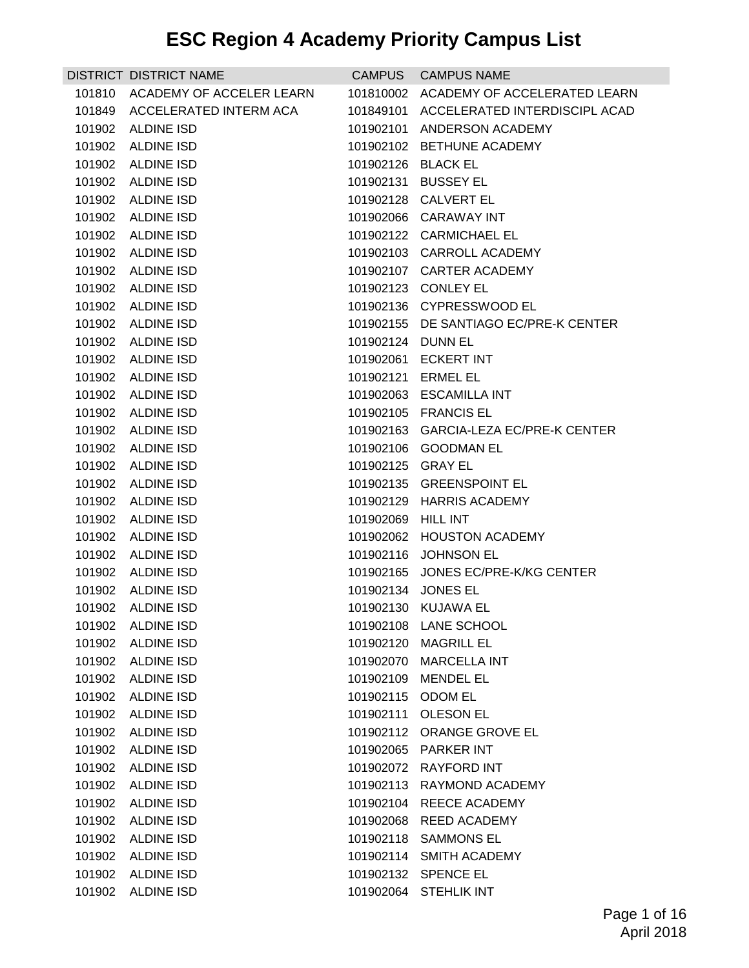|        | DISTRICT DISTRICT NAME                 | <b>CAMPUS</b>      | <b>CAMPUS NAME</b>                                |
|--------|----------------------------------------|--------------------|---------------------------------------------------|
| 101810 | ACADEMY OF ACCELER LEARN               | 101810002          | ACADEMY OF ACCELERATED LEARN                      |
| 101849 | ACCELERATED INTERM ACA                 | 101849101          | ACCELERATED INTERDISCIPL ACAD                     |
|        | 101902 ALDINE ISD                      | 101902101          | ANDERSON ACADEMY                                  |
| 101902 | <b>ALDINE ISD</b>                      | 101902102          | BETHUNE ACADEMY                                   |
|        | 101902 ALDINE ISD                      | 101902126 BLACK EL |                                                   |
| 101902 | <b>ALDINE ISD</b>                      | 101902131          | <b>BUSSEY EL</b>                                  |
| 101902 | <b>ALDINE ISD</b>                      | 101902128          | <b>CALVERT EL</b>                                 |
| 101902 | <b>ALDINE ISD</b>                      |                    | 101902066 CARAWAY INT                             |
| 101902 | <b>ALDINE ISD</b>                      |                    | 101902122 CARMICHAEL EL                           |
|        | 101902 ALDINE ISD                      |                    | 101902103 CARROLL ACADEMY                         |
| 101902 | <b>ALDINE ISD</b>                      | 101902107          | <b>CARTER ACADEMY</b>                             |
| 101902 | <b>ALDINE ISD</b>                      |                    | 101902123 CONLEY EL                               |
| 101902 | <b>ALDINE ISD</b>                      |                    | 101902136 CYPRESSWOOD EL                          |
|        | 101902 ALDINE ISD                      |                    | 101902155 DE SANTIAGO EC/PRE-K CENTER             |
| 101902 | <b>ALDINE ISD</b>                      | 101902124          | DUNN EL                                           |
| 101902 | <b>ALDINE ISD</b>                      | 101902061          | <b>ECKERT INT</b>                                 |
|        | 101902 ALDINE ISD                      | 101902121          | <b>ERMEL EL</b>                                   |
| 101902 | <b>ALDINE ISD</b>                      | 101902063          | <b>ESCAMILLA INT</b>                              |
| 101902 | <b>ALDINE ISD</b>                      |                    | 101902105 FRANCIS EL                              |
| 101902 | <b>ALDINE ISD</b>                      | 101902163          | <b>GARCIA-LEZA EC/PRE-K CENTER</b>                |
| 101902 | <b>ALDINE ISD</b>                      | 101902106          | <b>GOODMAN EL</b>                                 |
|        | 101902 ALDINE ISD                      | 101902125 GRAY EL  |                                                   |
| 101902 | <b>ALDINE ISD</b><br>101902 ALDINE ISD | 101902135          | <b>GREENSPOINT EL</b><br>101902129 HARRIS ACADEMY |
| 101902 | <b>ALDINE ISD</b>                      | 101902069          | <b>HILL INT</b>                                   |
| 101902 | <b>ALDINE ISD</b>                      | 101902062          | <b>HOUSTON ACADEMY</b>                            |
| 101902 | ALDINE ISD                             | 101902116          | <b>JOHNSON EL</b>                                 |
| 101902 | ALDINE ISD                             | 101902165          | JONES EC/PRE-K/KG CENTER                          |
|        | 101902 ALDINE ISD                      | 101902134          | <b>JONES EL</b>                                   |
|        | 101902 ALDINE ISD                      |                    | 101902130 KUJAWA EL                               |
|        | 101902 ALDINE ISD                      |                    | 101902108 LANE SCHOOL                             |
| 101902 | <b>ALDINE ISD</b>                      | 101902120          | <b>MAGRILL EL</b>                                 |
| 101902 | <b>ALDINE ISD</b>                      | 101902070          | <b>MARCELLA INT</b>                               |
| 101902 | <b>ALDINE ISD</b>                      | 101902109          | <b>MENDEL EL</b>                                  |
| 101902 | <b>ALDINE ISD</b>                      | 101902115          | <b>ODOM EL</b>                                    |
| 101902 | <b>ALDINE ISD</b>                      |                    | 101902111 OLESON EL                               |
| 101902 | <b>ALDINE ISD</b>                      | 101902112          | ORANGE GROVE EL                                   |
| 101902 | <b>ALDINE ISD</b>                      |                    | 101902065 PARKER INT                              |
| 101902 | <b>ALDINE ISD</b>                      | 101902072          | <b>RAYFORD INT</b>                                |
| 101902 | <b>ALDINE ISD</b>                      | 101902113          | <b>RAYMOND ACADEMY</b>                            |
| 101902 | <b>ALDINE ISD</b>                      |                    | 101902104 REECE ACADEMY                           |
| 101902 | <b>ALDINE ISD</b>                      | 101902068          | <b>REED ACADEMY</b>                               |
| 101902 | <b>ALDINE ISD</b>                      |                    | 101902118 SAMMONS EL                              |
| 101902 | <b>ALDINE ISD</b>                      | 101902114          | <b>SMITH ACADEMY</b>                              |
| 101902 | <b>ALDINE ISD</b>                      |                    | 101902132 SPENCE EL                               |
| 101902 | <b>ALDINE ISD</b>                      |                    | 101902064 STEHLIK INT                             |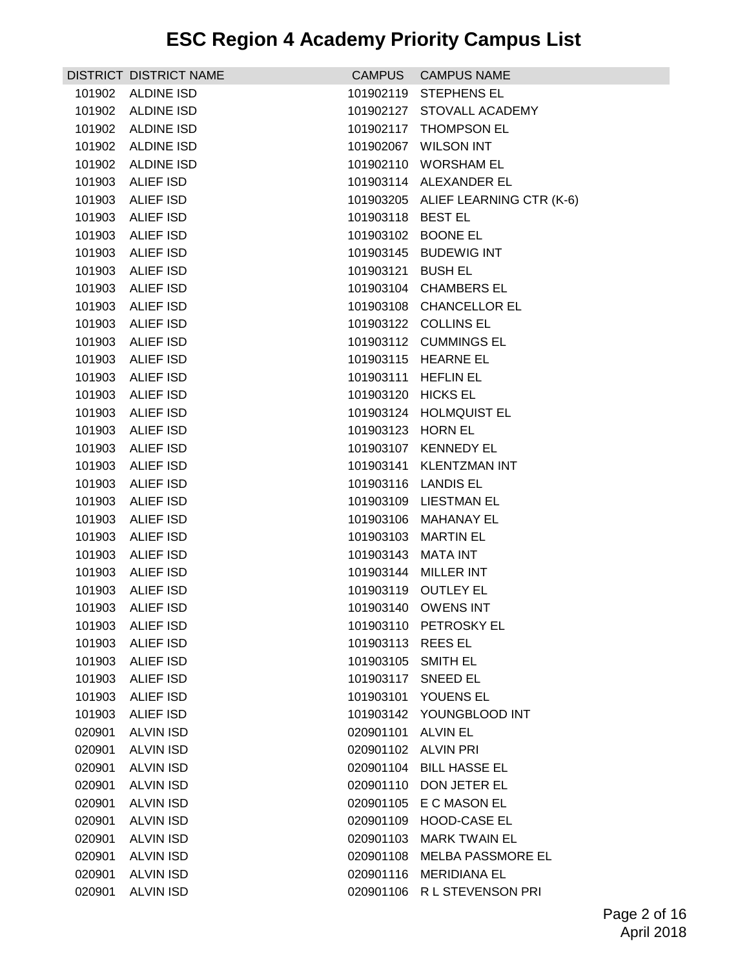|                  | DISTRICT DISTRICT NAME        | <b>CAMPUS</b>     | <b>CAMPUS NAME</b>                 |
|------------------|-------------------------------|-------------------|------------------------------------|
|                  | 101902 ALDINE ISD             | 101902119         | <b>STEPHENS EL</b>                 |
| 101902           | <b>ALDINE ISD</b>             | 101902127         | STOVALL ACADEMY                    |
| 101902           | <b>ALDINE ISD</b>             |                   | 101902117 THOMPSON EL              |
| 101902           | <b>ALDINE ISD</b>             | 101902067         | <b>WILSON INT</b>                  |
| 101902           | <b>ALDINE ISD</b>             |                   | 101902110 WORSHAM EL               |
| 101903           | <b>ALIEF ISD</b>              |                   | 101903114 ALEXANDER EL             |
| 101903           | <b>ALIEF ISD</b>              |                   | 101903205 ALIEF LEARNING CTR (K-6) |
| 101903           | <b>ALIEF ISD</b>              | 101903118 BEST EL |                                    |
| 101903           | <b>ALIEF ISD</b>              |                   | 101903102 BOONE EL                 |
| 101903           | ALIEF ISD                     |                   | 101903145 BUDEWIG INT              |
| 101903           | <b>ALIEF ISD</b>              | 101903121         | <b>BUSH EL</b>                     |
| 101903           | <b>ALIEF ISD</b>              | 101903104         | <b>CHAMBERS EL</b>                 |
| 101903           | ALIEF ISD                     |                   | 101903108 CHANCELLOR EL            |
| 101903           | <b>ALIEF ISD</b>              |                   | 101903122 COLLINS EL               |
| 101903           | ALIEF ISD                     |                   | 101903112 CUMMINGS EL              |
| 101903           | <b>ALIEF ISD</b>              |                   | 101903115 HEARNE EL                |
| 101903           | <b>ALIEF ISD</b>              | 101903111         | <b>HEFLIN EL</b>                   |
| 101903           | <b>ALIEF ISD</b>              | 101903120         | <b>HICKS EL</b>                    |
| 101903           | <b>ALIEF ISD</b>              |                   | 101903124 HOLMQUIST EL             |
| 101903           | ALIEF ISD                     | 101903123 HORN EL |                                    |
| 101903           | <b>ALIEF ISD</b>              | 101903107         | <b>KENNEDY EL</b>                  |
| 101903           | <b>ALIEF ISD</b>              |                   | 101903141 KLENTZMAN INT            |
| 101903           | ALIEF ISD                     |                   | 101903116 LANDIS EL                |
| 101903           | ALIEF ISD                     |                   | 101903109 LIESTMAN EL              |
| 101903           | <b>ALIEF ISD</b>              | 101903106         | <b>MAHANAY EL</b>                  |
| 101903           | <b>ALIEF ISD</b>              | 101903103         | <b>MARTIN EL</b>                   |
| 101903           | ALIEF ISD<br><b>ALIEF ISD</b> | 101903143         | MATA INT<br><b>MILLER INT</b>      |
| 101903<br>101903 | <b>ALIEF ISD</b>              | 101903144         | 101903119 OUTLEY EL                |
| 101903           | ALIEF ISD                     |                   | 101903140 OWENS INT                |
| 101903           | ALIEF ISD                     |                   | 101903110 PETROSKY EL              |
| 101903           | <b>ALIEF ISD</b>              | 101903113         | <b>REESEL</b>                      |
| 101903           | <b>ALIEF ISD</b>              | 101903105         | <b>SMITH EL</b>                    |
| 101903           | <b>ALIEF ISD</b>              | 101903117         | <b>SNEED EL</b>                    |
| 101903           | <b>ALIEF ISD</b>              | 101903101         | YOUENS EL                          |
| 101903           | <b>ALIEF ISD</b>              |                   | 101903142 YOUNGBLOOD INT           |
| 020901           | <b>ALVIN ISD</b>              | 020901101         | <b>ALVIN EL</b>                    |
| 020901           | <b>ALVIN ISD</b>              | 020901102         | <b>ALVIN PRI</b>                   |
| 020901           | ALVIN ISD                     | 020901104         | <b>BILL HASSE EL</b>               |
| 020901           | <b>ALVIN ISD</b>              | 020901110         | DON JETER EL                       |
| 020901           | <b>ALVIN ISD</b>              |                   | 020901105 E C MASON EL             |
| 020901           | <b>ALVIN ISD</b>              | 020901109         | <b>HOOD-CASE EL</b>                |
| 020901           | <b>ALVIN ISD</b>              | 020901103         | <b>MARK TWAIN EL</b>               |
| 020901           | <b>ALVIN ISD</b>              | 020901108         | <b>MELBA PASSMORE EL</b>           |
| 020901           | <b>ALVIN ISD</b>              | 020901116         | <b>MERIDIANA EL</b>                |
| 020901           | <b>ALVIN ISD</b>              | 020901106         | R L STEVENSON PRI                  |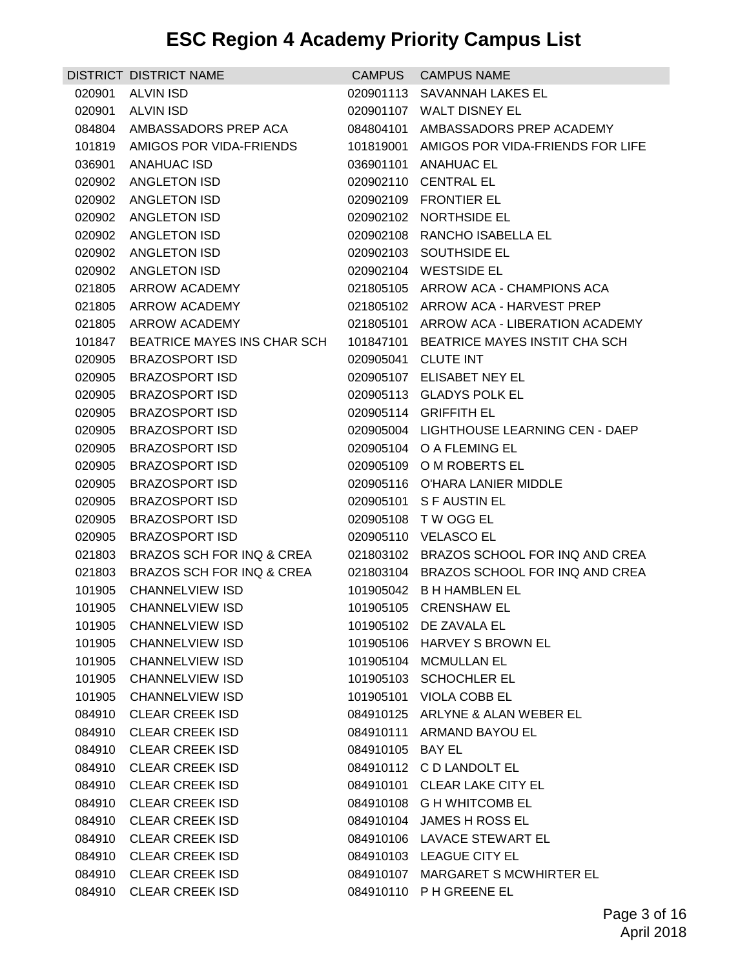|                  | <b>DISTRICT DISTRICT NAME</b>                  | <b>CAMPUS</b>    | <b>CAMPUS NAME</b>                                                |
|------------------|------------------------------------------------|------------------|-------------------------------------------------------------------|
| 020901           | <b>ALVIN ISD</b>                               | 020901113        | <b>SAVANNAH LAKES EL</b>                                          |
| 020901           | <b>ALVIN ISD</b>                               | 020901107        | <b>WALT DISNEY EL</b>                                             |
| 084804           | AMBASSADORS PREP ACA                           | 084804101        | AMBASSADORS PREP ACADEMY                                          |
| 101819           | AMIGOS POR VIDA-FRIENDS                        | 101819001        | AMIGOS POR VIDA-FRIENDS FOR LIFE                                  |
| 036901           | ANAHUAC ISD                                    |                  | 036901101 ANAHUAC EL                                              |
| 020902           | <b>ANGLETON ISD</b>                            | 020902110        | <b>CENTRAL EL</b>                                                 |
| 020902           | <b>ANGLETON ISD</b>                            |                  | 020902109 FRONTIER EL                                             |
| 020902           | ANGLETON ISD                                   |                  | 020902102 NORTHSIDE EL                                            |
|                  | 020902 ANGLETON ISD                            |                  | 020902108 RANCHO ISABELLA EL                                      |
| 020902           | ANGLETON ISD                                   |                  | 020902103 SOUTHSIDE EL                                            |
| 020902           | <b>ANGLETON ISD</b>                            | 020902104        | <b>WESTSIDE EL</b>                                                |
| 021805           | ARROW ACADEMY                                  |                  | 021805105 ARROW ACA - CHAMPIONS ACA                               |
| 021805           | ARROW ACADEMY                                  |                  | 021805102 ARROW ACA - HARVEST PREP                                |
| 021805           | ARROW ACADEMY                                  |                  | 021805101 ARROW ACA - LIBERATION ACADEMY                          |
| 101847           | BEATRICE MAYES INS CHAR SCH                    |                  | 101847101 BEATRICE MAYES INSTIT CHA SCH                           |
| 020905           | <b>BRAZOSPORT ISD</b>                          | 020905041        | <b>CLUTE INT</b>                                                  |
| 020905           | <b>BRAZOSPORT ISD</b>                          |                  | 020905107 ELISABET NEY EL                                         |
| 020905           | <b>BRAZOSPORT ISD</b>                          |                  | 020905113 GLADYS POLK EL                                          |
| 020905           | <b>BRAZOSPORT ISD</b>                          |                  | 020905114 GRIFFITH EL<br>020905004 LIGHTHOUSE LEARNING CEN - DAEP |
| 020905           | <b>BRAZOSPORT ISD</b><br><b>BRAZOSPORT ISD</b> |                  | 020905104 O A FLEMING EL                                          |
| 020905<br>020905 | <b>BRAZOSPORT ISD</b>                          |                  | 020905109 O M ROBERTS EL                                          |
| 020905           | <b>BRAZOSPORT ISD</b>                          |                  | 020905116 O'HARA LANIER MIDDLE                                    |
| 020905           | <b>BRAZOSPORT ISD</b>                          |                  | 020905101 S F AUSTIN EL                                           |
| 020905           | <b>BRAZOSPORT ISD</b>                          |                  | 020905108 TW OGG EL                                               |
| 020905           | <b>BRAZOSPORT ISD</b>                          |                  | 020905110 VELASCO EL                                              |
| 021803           | BRAZOS SCH FOR INQ & CREA                      | 021803102        | BRAZOS SCHOOL FOR INQ AND CREA                                    |
| 021803           | BRAZOS SCH FOR INQ & CREA                      | 021803104        | BRAZOS SCHOOL FOR INQ AND CREA                                    |
| 101905           | <b>CHANNELVIEW ISD</b>                         |                  | 101905042 B H HAMBLEN EL                                          |
| 101905           | <b>CHANNELVIEW ISD</b>                         |                  | 101905105 CRENSHAW EL                                             |
|                  | 101905 CHANNELVIEW ISD                         |                  | 101905102 DE ZAVALA EL                                            |
| 101905           | <b>CHANNELVIEW ISD</b>                         |                  | 101905106 HARVEY S BROWN EL                                       |
| 101905           | <b>CHANNELVIEW ISD</b>                         | 101905104        | <b>MCMULLAN EL</b>                                                |
| 101905           | <b>CHANNELVIEW ISD</b>                         |                  | 101905103 SCHOCHLER EL                                            |
| 101905           | <b>CHANNELVIEW ISD</b>                         |                  | 101905101 VIOLA COBB EL                                           |
|                  | 084910 CLEAR CREEK ISD                         |                  | 084910125 ARLYNE & ALAN WEBER EL                                  |
| 084910           | <b>CLEAR CREEK ISD</b>                         | 084910111        | ARMAND BAYOU EL                                                   |
| 084910           | <b>CLEAR CREEK ISD</b>                         | 084910105 BAY EL |                                                                   |
| 084910           | <b>CLEAR CREEK ISD</b>                         |                  | 084910112 CD LANDOLT EL                                           |
| 084910           | <b>CLEAR CREEK ISD</b>                         |                  | 084910101 CLEAR LAKE CITY EL                                      |
|                  | 084910 CLEAR CREEK ISD                         |                  | 084910108 G H WHITCOMB EL                                         |
| 084910           | <b>CLEAR CREEK ISD</b>                         |                  | 084910104 JAMES H ROSS EL                                         |
| 084910           | <b>CLEAR CREEK ISD</b>                         |                  | 084910106 LAVACE STEWART EL                                       |
| 084910           | <b>CLEAR CREEK ISD</b>                         |                  | 084910103 LEAGUE CITY EL                                          |
| 084910           | <b>CLEAR CREEK ISD</b>                         |                  | 084910107 MARGARET S MCWHIRTER EL                                 |
| 084910           | <b>CLEAR CREEK ISD</b>                         |                  | 084910110 PH GREENE EL                                            |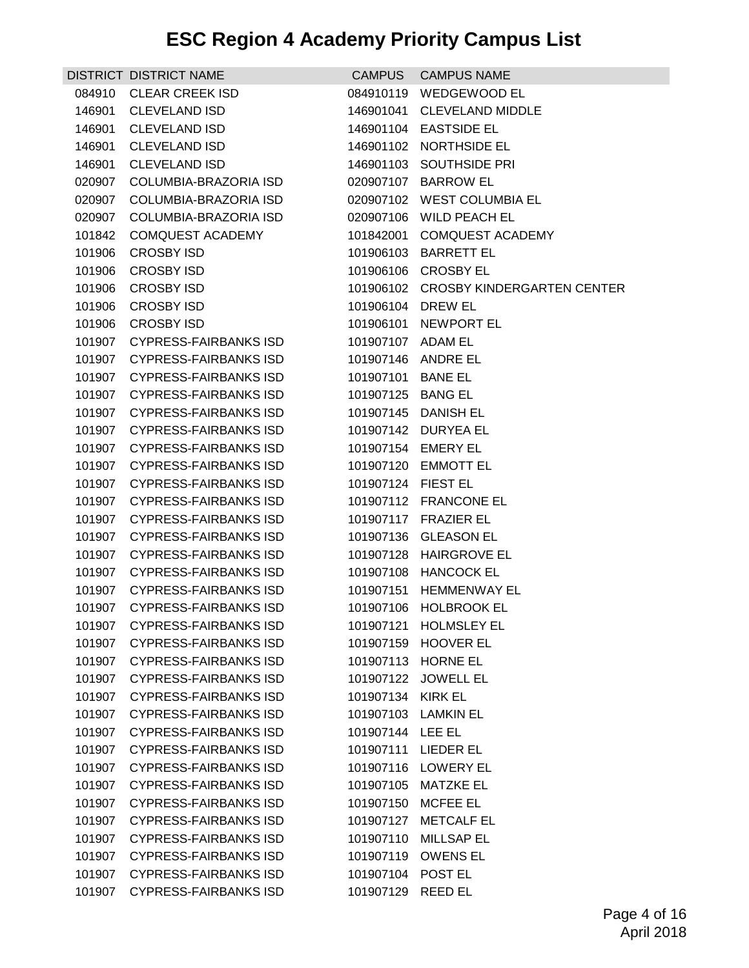|        | DISTRICT DISTRICT NAME       | CAMPUS              | <b>CAMPUS NAME</b>                   |
|--------|------------------------------|---------------------|--------------------------------------|
| 084910 | <b>CLEAR CREEK ISD</b>       | 084910119           | WEDGEWOOD EL                         |
| 146901 | <b>CLEVELAND ISD</b>         | 146901041           | <b>CLEVELAND MIDDLE</b>              |
| 146901 | <b>CLEVELAND ISD</b>         | 146901104           | <b>EASTSIDE EL</b>                   |
| 146901 | <b>CLEVELAND ISD</b>         | 146901102           | NORTHSIDE EL                         |
| 146901 | <b>CLEVELAND ISD</b>         |                     | 146901103 SOUTHSIDE PRI              |
| 020907 | COLUMBIA-BRAZORIA ISD        | 020907107           | <b>BARROW EL</b>                     |
| 020907 | COLUMBIA-BRAZORIA ISD        | 020907102           | <b>WEST COLUMBIA EL</b>              |
| 020907 | COLUMBIA-BRAZORIA ISD        | 020907106           | <b>WILD PEACH EL</b>                 |
| 101842 | <b>COMQUEST ACADEMY</b>      | 101842001           | <b>COMQUEST ACADEMY</b>              |
| 101906 | <b>CROSBY ISD</b>            |                     | 101906103 BARRETT EL                 |
| 101906 | <b>CROSBY ISD</b>            | 101906106           | <b>CROSBY EL</b>                     |
| 101906 | <b>CROSBY ISD</b>            |                     | 101906102 CROSBY KINDERGARTEN CENTER |
| 101906 | <b>CROSBY ISD</b>            | 101906104           | <b>DREW EL</b>                       |
| 101906 | <b>CROSBY ISD</b>            | 101906101           | <b>NEWPORT EL</b>                    |
| 101907 | <b>CYPRESS-FAIRBANKS ISD</b> | 101907107 ADAM EL   |                                      |
| 101907 | <b>CYPRESS-FAIRBANKS ISD</b> | 101907146           | ANDRE EL                             |
| 101907 | <b>CYPRESS-FAIRBANKS ISD</b> | 101907101           | <b>BANE EL</b>                       |
| 101907 | <b>CYPRESS-FAIRBANKS ISD</b> | 101907125           | <b>BANG EL</b>                       |
| 101907 | <b>CYPRESS-FAIRBANKS ISD</b> |                     | 101907145 DANISH EL                  |
| 101907 | <b>CYPRESS-FAIRBANKS ISD</b> | 101907142           | DURYEA EL                            |
| 101907 | <b>CYPRESS-FAIRBANKS ISD</b> | 101907154           | <b>EMERY EL</b>                      |
| 101907 | CYPRESS-FAIRBANKS ISD        | 101907120           | EMMOTT EL                            |
| 101907 | <b>CYPRESS-FAIRBANKS ISD</b> | 101907124 FIEST EL  |                                      |
| 101907 | CYPRESS-FAIRBANKS ISD        |                     | 101907112 FRANCONE EL                |
| 101907 | <b>CYPRESS-FAIRBANKS ISD</b> | 101907117           | <b>FRAZIER EL</b>                    |
| 101907 | <b>CYPRESS-FAIRBANKS ISD</b> | 101907136           | <b>GLEASON EL</b>                    |
| 101907 | <b>CYPRESS-FAIRBANKS ISD</b> | 101907128           | <b>HAIRGROVE EL</b>                  |
| 101907 | CYPRESS-FAIRBANKS ISD        | 101907108           | <b>HANCOCK EL</b>                    |
| 101907 | <b>CYPRESS-FAIRBANKS ISD</b> | 101907151           | <b>HEMMENWAY EL</b>                  |
|        | 101907 CYPRESS-FAIRBANKS ISD |                     | 101907106 HOLBROOK EL                |
|        | 101907 CYPRESS-FAIRBANKS ISD |                     | 101907121 HOLMSLEY EL                |
| 101907 | <b>CYPRESS-FAIRBANKS ISD</b> | 101907159           | <b>HOOVER EL</b>                     |
| 101907 | <b>CYPRESS-FAIRBANKS ISD</b> | 101907113           | <b>HORNE EL</b>                      |
| 101907 | <b>CYPRESS-FAIRBANKS ISD</b> | 101907122           | <b>JOWELL EL</b>                     |
| 101907 | <b>CYPRESS-FAIRBANKS ISD</b> | 101907134           | <b>KIRK EL</b>                       |
| 101907 | <b>CYPRESS-FAIRBANKS ISD</b> | 101907103 LAMKIN EL |                                      |
| 101907 | <b>CYPRESS-FAIRBANKS ISD</b> | 101907144           | LEE EL                               |
| 101907 | <b>CYPRESS-FAIRBANKS ISD</b> | 101907111           | <b>LIEDER EL</b>                     |
| 101907 | <b>CYPRESS-FAIRBANKS ISD</b> | 101907116           | LOWERY EL                            |
| 101907 | <b>CYPRESS-FAIRBANKS ISD</b> | 101907105           | MATZKE EL                            |
| 101907 | CYPRESS-FAIRBANKS ISD        | 101907150           | MCFEE EL                             |
| 101907 | <b>CYPRESS-FAIRBANKS ISD</b> | 101907127           | <b>METCALF EL</b>                    |
| 101907 | <b>CYPRESS-FAIRBANKS ISD</b> | 101907110           | <b>MILLSAP EL</b>                    |
| 101907 | <b>CYPRESS-FAIRBANKS ISD</b> | 101907119           | <b>OWENS EL</b>                      |
| 101907 | <b>CYPRESS-FAIRBANKS ISD</b> | 101907104           | POST EL                              |
| 101907 | <b>CYPRESS-FAIRBANKS ISD</b> | 101907129           | <b>REED EL</b>                       |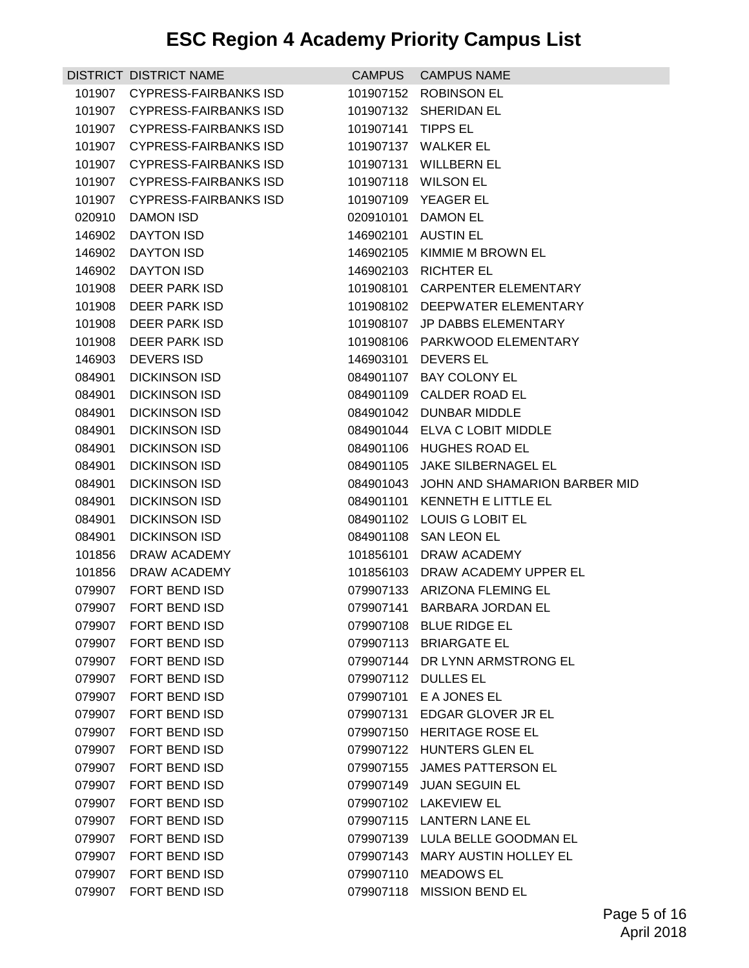|        | DISTRICT DISTRICT NAME       | <b>CAMPUS</b> | <b>CAMPUS NAME</b>              |
|--------|------------------------------|---------------|---------------------------------|
| 101907 | <b>CYPRESS-FAIRBANKS ISD</b> | 101907152     | <b>ROBINSON EL</b>              |
| 101907 | <b>CYPRESS-FAIRBANKS ISD</b> | 101907132     | SHERIDAN EL                     |
| 101907 | <b>CYPRESS-FAIRBANKS ISD</b> | 101907141     | <b>TIPPS EL</b>                 |
| 101907 | CYPRESS-FAIRBANKS ISD        | 101907137     | <b>WALKER EL</b>                |
| 101907 | CYPRESS-FAIRBANKS ISD        |               | 101907131 WILLBERN EL           |
| 101907 | <b>CYPRESS-FAIRBANKS ISD</b> | 101907118     | <b>WILSON EL</b>                |
| 101907 | <b>CYPRESS-FAIRBANKS ISD</b> | 101907109     | <b>YEAGER EL</b>                |
| 020910 | DAMON ISD                    | 020910101     | <b>DAMON EL</b>                 |
| 146902 | <b>DAYTON ISD</b>            | 146902101     | <b>AUSTIN EL</b>                |
| 146902 | <b>DAYTON ISD</b>            | 146902105     | KIMMIE M BROWN EL               |
| 146902 | <b>DAYTON ISD</b>            | 146902103     | <b>RICHTER EL</b>               |
| 101908 | DEER PARK ISD                | 101908101     | <b>CARPENTER ELEMENTARY</b>     |
| 101908 | DEER PARK ISD                | 101908102     | DEEPWATER ELEMENTARY            |
| 101908 | DEER PARK ISD                | 101908107     | <b>JP DABBS ELEMENTARY</b>      |
| 101908 | <b>DEER PARK ISD</b>         | 101908106     | PARKWOOD ELEMENTARY             |
| 146903 | <b>DEVERS ISD</b>            | 146903101     | DEVERS EL                       |
| 084901 | <b>DICKINSON ISD</b>         |               | 084901107 BAY COLONY EL         |
| 084901 | <b>DICKINSON ISD</b>         | 084901109     | <b>CALDER ROAD EL</b>           |
| 084901 | <b>DICKINSON ISD</b>         | 084901042     | DUNBAR MIDDLE                   |
| 084901 | <b>DICKINSON ISD</b>         | 084901044     | ELVA C LOBIT MIDDLE             |
| 084901 | <b>DICKINSON ISD</b>         | 084901106     | <b>HUGHES ROAD EL</b>           |
| 084901 | <b>DICKINSON ISD</b>         | 084901105     | <b>JAKE SILBERNAGEL EL</b>      |
| 084901 | <b>DICKINSON ISD</b>         | 084901043     | JOHN AND SHAMARION BARBER MID   |
| 084901 | <b>DICKINSON ISD</b>         | 084901101     | KENNETH E LITTLE EL             |
| 084901 | <b>DICKINSON ISD</b>         | 084901102     | LOUIS G LOBIT EL                |
| 084901 | <b>DICKINSON ISD</b>         |               | 084901108 SAN LEON EL           |
| 101856 | DRAW ACADEMY                 | 101856101     | DRAW ACADEMY                    |
| 101856 | DRAW ACADEMY                 | 101856103     | DRAW ACADEMY UPPER EL           |
| 079907 | FORT BEND ISD                |               | 079907133 ARIZONA FLEMING EL    |
|        | 079907 FORT BEND ISD         |               | 079907141 BARBARA JORDAN EL     |
|        | 079907 FORT BEND ISD         |               | 079907108 BLUE RIDGE EL         |
| 079907 | FORT BEND ISD                |               | 079907113 BRIARGATE EL          |
| 079907 | FORT BEND ISD                |               | 079907144 DR LYNN ARMSTRONG EL  |
| 079907 | <b>FORT BEND ISD</b>         | 079907112     | <b>DULLES EL</b>                |
| 079907 | FORT BEND ISD                |               | 079907101 E A JONES EL          |
| 079907 | <b>FORT BEND ISD</b>         |               | 079907131 EDGAR GLOVER JR EL    |
| 079907 | FORT BEND ISD                | 079907150     | <b>HERITAGE ROSE EL</b>         |
| 079907 | <b>FORT BEND ISD</b>         |               | 079907122 HUNTERS GLEN EL       |
| 079907 | <b>FORT BEND ISD</b>         | 079907155     | JAMES PATTERSON EL              |
| 079907 | FORT BEND ISD                | 079907149     | <b>JUAN SEGUIN EL</b>           |
| 079907 | FORT BEND ISD                |               | 079907102 LAKEVIEW EL           |
| 079907 | FORT BEND ISD                | 079907115     | <b>LANTERN LANE EL</b>          |
| 079907 | <b>FORT BEND ISD</b>         |               | 079907139 LULA BELLE GOODMAN EL |
| 079907 | FORT BEND ISD                | 079907143     | <b>MARY AUSTIN HOLLEY EL</b>    |
|        | 079907 FORT BEND ISD         |               | 079907110 MEADOWS EL            |
| 079907 | FORT BEND ISD                | 079907118     | <b>MISSION BEND EL</b>          |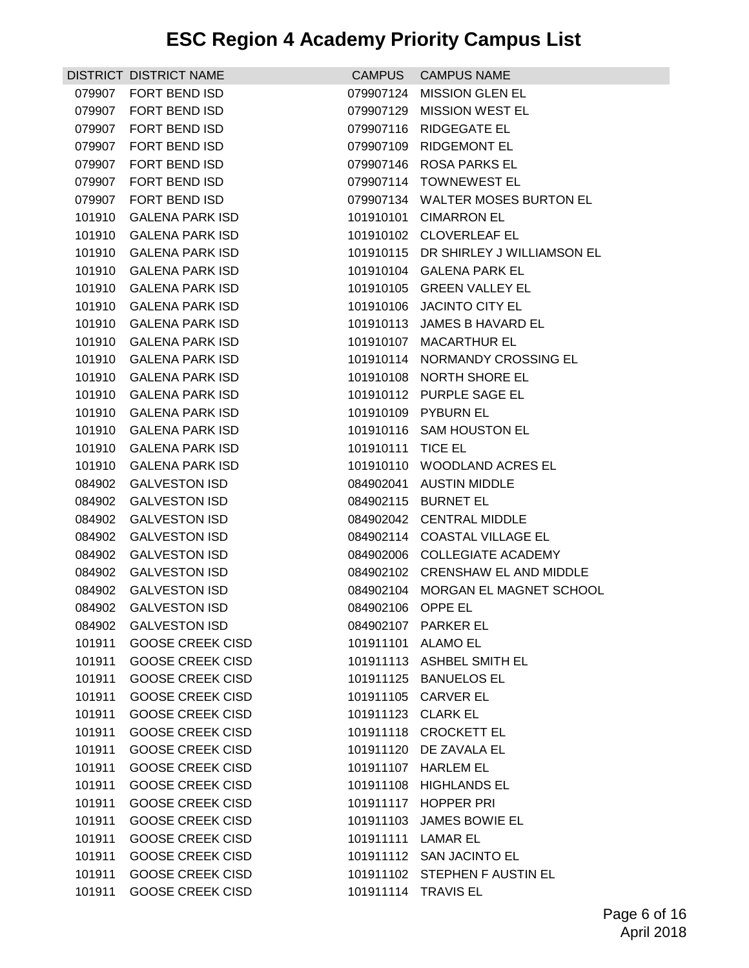|        | DISTRICT DISTRICT NAME  | <b>CAMPUS</b>      | <b>CAMPUS NAME</b>                   |
|--------|-------------------------|--------------------|--------------------------------------|
| 079907 | <b>FORT BEND ISD</b>    | 079907124          | <b>MISSION GLEN EL</b>               |
| 079907 | <b>FORT BEND ISD</b>    | 079907129          | <b>MISSION WEST EL</b>               |
| 079907 | <b>FORT BEND ISD</b>    | 079907116          | <b>RIDGEGATE EL</b>                  |
| 079907 | <b>FORT BEND ISD</b>    | 079907109          | <b>RIDGEMONT EL</b>                  |
| 079907 | FORT BEND ISD           |                    | 079907146 ROSA PARKS EL              |
| 079907 | FORT BEND ISD           | 079907114          | <b>TOWNEWEST EL</b>                  |
| 079907 | FORT BEND ISD           |                    | 079907134 WALTER MOSES BURTON EL     |
| 101910 | <b>GALENA PARK ISD</b>  | 101910101          | <b>CIMARRON EL</b>                   |
| 101910 | <b>GALENA PARK ISD</b>  |                    | 101910102 CLOVERLEAF EL              |
| 101910 | <b>GALENA PARK ISD</b>  |                    | 101910115 DR SHIRLEY J WILLIAMSON EL |
| 101910 | <b>GALENA PARK ISD</b>  | 101910104          | <b>GALENA PARK EL</b>                |
| 101910 | <b>GALENA PARK ISD</b>  |                    | 101910105 GREEN VALLEY EL            |
| 101910 | <b>GALENA PARK ISD</b>  | 101910106          | <b>JACINTO CITY EL</b>               |
| 101910 | <b>GALENA PARK ISD</b>  | 101910113          | JAMES B HAVARD EL                    |
| 101910 | <b>GALENA PARK ISD</b>  | 101910107          | <b>MACARTHUR EL</b>                  |
| 101910 | <b>GALENA PARK ISD</b>  | 101910114          | NORMANDY CROSSING EL                 |
| 101910 | <b>GALENA PARK ISD</b>  | 101910108          | <b>NORTH SHORE EL</b>                |
| 101910 | <b>GALENA PARK ISD</b>  | 101910112          | <b>PURPLE SAGE EL</b>                |
| 101910 | <b>GALENA PARK ISD</b>  |                    | 101910109 PYBURN EL                  |
| 101910 | <b>GALENA PARK ISD</b>  | 101910116          | <b>SAM HOUSTON EL</b>                |
| 101910 | <b>GALENA PARK ISD</b>  | 101910111          | <b>TICE EL</b>                       |
| 101910 | <b>GALENA PARK ISD</b>  |                    | 101910110 WOODLAND ACRES EL          |
| 084902 | <b>GALVESTON ISD</b>    | 084902041          | <b>AUSTIN MIDDLE</b>                 |
| 084902 | <b>GALVESTON ISD</b>    | 084902115          | <b>BURNET EL</b>                     |
| 084902 | <b>GALVESTON ISD</b>    | 084902042          | <b>CENTRAL MIDDLE</b>                |
| 084902 | <b>GALVESTON ISD</b>    |                    | 084902114 COASTAL VILLAGE EL         |
| 084902 | <b>GALVESTON ISD</b>    |                    | 084902006 COLLEGIATE ACADEMY         |
| 084902 | <b>GALVESTON ISD</b>    |                    | 084902102 CRENSHAW EL AND MIDDLE     |
| 084902 | <b>GALVESTON ISD</b>    |                    | 084902104 MORGAN EL MAGNET SCHOOL    |
|        | 084902 GALVESTON ISD    | 084902106 OPPE EL  |                                      |
|        | 084902 GALVESTON ISD    |                    | 084902107 PARKER EL                  |
| 101911 | <b>GOOSE CREEK CISD</b> | 101911101 ALAMO EL |                                      |
| 101911 | <b>GOOSE CREEK CISD</b> |                    | 101911113 ASHBEL SMITH EL            |
| 101911 | <b>GOOSE CREEK CISD</b> |                    | 101911125 BANUELOS EL                |
| 101911 | <b>GOOSE CREEK CISD</b> |                    | 101911105 CARVER EL                  |
| 101911 | <b>GOOSE CREEK CISD</b> | 101911123 CLARK EL |                                      |
| 101911 | <b>GOOSE CREEK CISD</b> |                    | 101911118 CROCKETT EL                |
| 101911 | <b>GOOSE CREEK CISD</b> |                    | 101911120 DE ZAVALA EL               |
| 101911 | <b>GOOSE CREEK CISD</b> | 101911107          | <b>HARLEM EL</b>                     |
| 101911 | <b>GOOSE CREEK CISD</b> |                    | 101911108 HIGHLANDS EL               |
| 101911 | <b>GOOSE CREEK CISD</b> |                    | 101911117 HOPPER PRI                 |
| 101911 | <b>GOOSE CREEK CISD</b> | 101911103          | JAMES BOWIE EL                       |
| 101911 | <b>GOOSE CREEK CISD</b> | 101911111 LAMAR EL |                                      |
| 101911 | <b>GOOSE CREEK CISD</b> |                    | 101911112 SAN JACINTO EL             |
| 101911 | <b>GOOSE CREEK CISD</b> |                    | 101911102 STEPHEN F AUSTIN EL        |
| 101911 | <b>GOOSE CREEK CISD</b> |                    | 101911114 TRAVIS EL                  |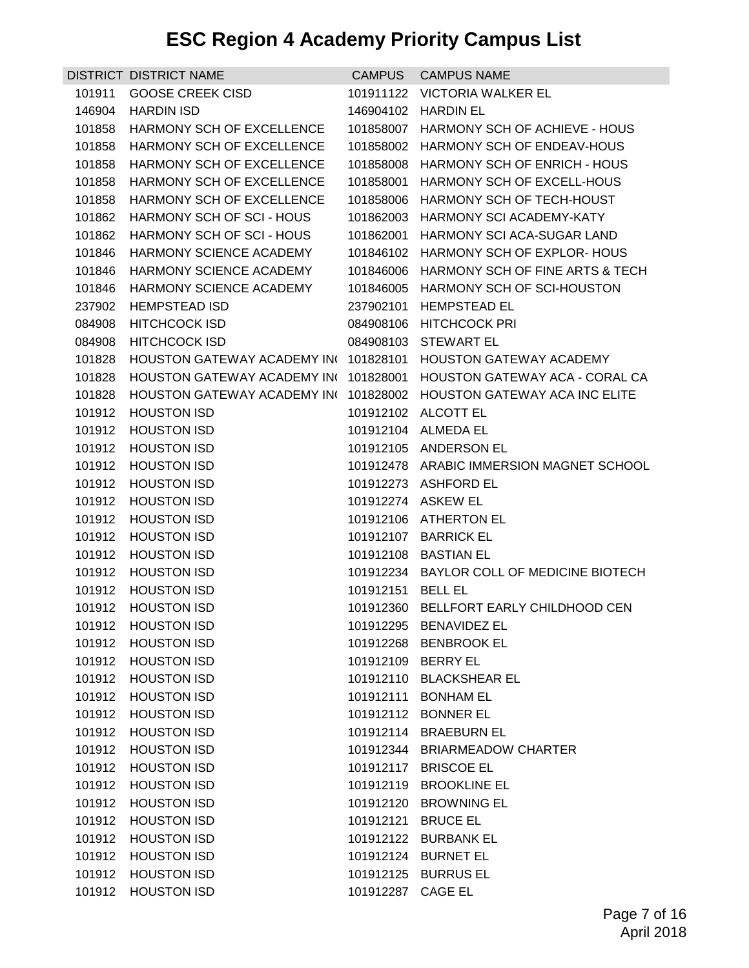|        | <b>DISTRICT DISTRICT NAME</b>            | <b>CAMPUS</b>      | <b>CAMPUS NAME</b>                        |
|--------|------------------------------------------|--------------------|-------------------------------------------|
| 101911 | <b>GOOSE CREEK CISD</b>                  | 101911122          | <b>VICTORIA WALKER EL</b>                 |
| 146904 | <b>HARDIN ISD</b>                        | 146904102          | <b>HARDIN EL</b>                          |
| 101858 | <b>HARMONY SCH OF EXCELLENCE</b>         | 101858007          | HARMONY SCH OF ACHIEVE - HOUS             |
| 101858 | <b>HARMONY SCH OF EXCELLENCE</b>         | 101858002          | HARMONY SCH OF ENDEAV-HOUS                |
| 101858 | <b>HARMONY SCH OF EXCELLENCE</b>         |                    | 101858008 HARMONY SCH OF ENRICH - HOUS    |
| 101858 | <b>HARMONY SCH OF EXCELLENCE</b>         | 101858001          | HARMONY SCH OF EXCELL-HOUS                |
| 101858 | HARMONY SCH OF EXCELLENCE                |                    | 101858006 HARMONY SCH OF TECH-HOUST       |
| 101862 | HARMONY SCH OF SCI - HOUS                | 101862003          | HARMONY SCI ACADEMY-KATY                  |
| 101862 | HARMONY SCH OF SCI - HOUS                | 101862001          | <b>HARMONY SCI ACA-SUGAR LAND</b>         |
| 101846 | HARMONY SCIENCE ACADEMY                  |                    | 101846102 HARMONY SCH OF EXPLOR-HOUS      |
| 101846 | HARMONY SCIENCE ACADEMY                  | 101846006          | HARMONY SCH OF FINE ARTS & TECH           |
| 101846 | HARMONY SCIENCE ACADEMY                  | 101846005          | HARMONY SCH OF SCI-HOUSTON                |
| 237902 | <b>HEMPSTEAD ISD</b>                     | 237902101          | <b>HEMPSTEAD EL</b>                       |
| 084908 | <b>HITCHCOCK ISD</b>                     |                    | 084908106 HITCHCOCK PRI                   |
| 084908 | <b>HITCHCOCK ISD</b>                     | 084908103          | <b>STEWART EL</b>                         |
| 101828 | HOUSTON GATEWAY ACADEMY INC              | 101828101          | <b>HOUSTON GATEWAY ACADEMY</b>            |
| 101828 | HOUSTON GATEWAY ACADEMY INC              | 101828001          | <b>HOUSTON GATEWAY ACA - CORAL CA</b>     |
| 101828 | <b>HOUSTON GATEWAY ACADEMY INC</b>       | 101828002          | <b>HOUSTON GATEWAY ACA INC ELITE</b>      |
| 101912 | <b>HOUSTON ISD</b>                       |                    | 101912102 ALCOTT EL                       |
| 101912 | <b>HOUSTON ISD</b>                       | 101912104          | <b>ALMEDA EL</b>                          |
| 101912 | <b>HOUSTON ISD</b>                       |                    | 101912105 ANDERSON EL                     |
| 101912 | <b>HOUSTON ISD</b>                       |                    | 101912478 ARABIC IMMERSION MAGNET SCHOOL  |
| 101912 | <b>HOUSTON ISD</b>                       |                    | 101912273 ASHFORD EL                      |
| 101912 | <b>HOUSTON ISD</b>                       |                    | 101912274 ASKEW EL                        |
| 101912 | <b>HOUSTON ISD</b>                       | 101912106          | <b>ATHERTON EL</b>                        |
| 101912 | <b>HOUSTON ISD</b>                       |                    | 101912107 BARRICK EL                      |
| 101912 | <b>HOUSTON ISD</b>                       | 101912108          | <b>BASTIAN EL</b>                         |
| 101912 | <b>HOUSTON ISD</b>                       |                    | 101912234 BAYLOR COLL OF MEDICINE BIOTECH |
| 101912 | <b>HOUSTON ISD</b>                       | 101912151          | <b>BELL EL</b>                            |
| 101912 | <b>HOUSTON ISD</b>                       |                    | 101912360 BELLFORT EARLY CHILDHOOD CEN    |
|        | 101912 HOUSTON ISD                       |                    | 101912295 BENAVIDEZ EL                    |
| 101912 | <b>HOUSTON ISD</b>                       |                    | 101912268 BENBROOK EL                     |
| 101912 | <b>HOUSTON ISD</b>                       | 101912109 BERRY EL |                                           |
| 101912 | <b>HOUSTON ISD</b>                       |                    | 101912110 BLACKSHEAR EL                   |
| 101912 | <b>HOUSTON ISD</b>                       |                    | 101912111 BONHAM EL                       |
| 101912 | <b>HOUSTON ISD</b>                       |                    | 101912112 BONNER EL                       |
| 101912 | <b>HOUSTON ISD</b>                       | 101912114          | <b>BRAEBURN EL</b>                        |
| 101912 | <b>HOUSTON ISD</b>                       |                    | 101912344 BRIARMEADOW CHARTER             |
| 101912 | <b>HOUSTON ISD</b>                       | 101912117          | <b>BRISCOE EL</b>                         |
| 101912 | <b>HOUSTON ISD</b>                       |                    | 101912119 BROOKLINE EL                    |
| 101912 | <b>HOUSTON ISD</b>                       | 101912120          | <b>BROWNING EL</b>                        |
| 101912 | <b>HOUSTON ISD</b>                       | 101912121          | <b>BRUCE EL</b>                           |
| 101912 | <b>HOUSTON ISD</b>                       |                    | 101912122 BURBANK EL                      |
| 101912 | <b>HOUSTON ISD</b>                       | 101912124          | <b>BURNET EL</b>                          |
| 101912 | <b>HOUSTON ISD</b><br><b>HOUSTON ISD</b> |                    | 101912125 BURRUS EL<br>CAGE EL            |
| 101912 |                                          | 101912287          |                                           |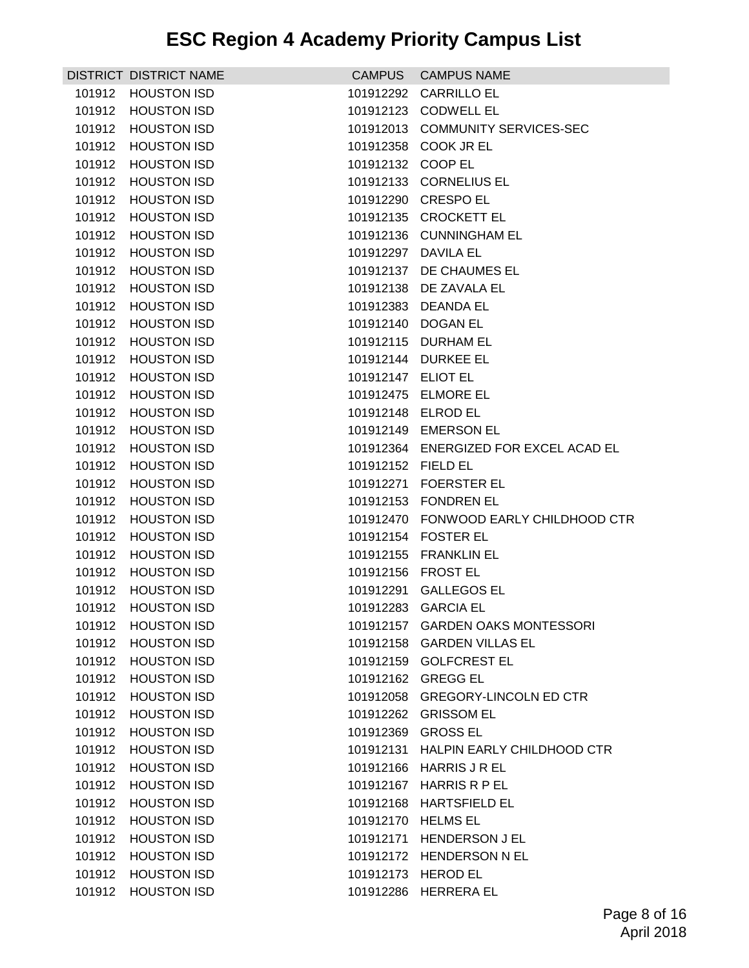|        | DISTRICT DISTRICT NAME | <b>CAMPUS</b>       | <b>CAMPUS NAME</b>                    |
|--------|------------------------|---------------------|---------------------------------------|
| 101912 | <b>HOUSTON ISD</b>     | 101912292           | <b>CARRILLO EL</b>                    |
| 101912 | <b>HOUSTON ISD</b>     | 101912123           | <b>CODWELL EL</b>                     |
| 101912 | <b>HOUSTON ISD</b>     | 101912013           | <b>COMMUNITY SERVICES-SEC</b>         |
| 101912 | <b>HOUSTON ISD</b>     | 101912358           | COOK JR EL                            |
| 101912 | <b>HOUSTON ISD</b>     | 101912132 COOP EL   |                                       |
| 101912 | <b>HOUSTON ISD</b>     | 101912133           | <b>CORNELIUS EL</b>                   |
| 101912 | <b>HOUSTON ISD</b>     |                     | 101912290 CRESPO EL                   |
| 101912 | <b>HOUSTON ISD</b>     | 101912135           | <b>CROCKETT EL</b>                    |
| 101912 | <b>HOUSTON ISD</b>     |                     | 101912136 CUNNINGHAM EL               |
| 101912 | <b>HOUSTON ISD</b>     | 101912297           | DAVILA EL                             |
| 101912 | <b>HOUSTON ISD</b>     | 101912137           | DE CHAUMES EL                         |
| 101912 | <b>HOUSTON ISD</b>     |                     | 101912138 DE ZAVALA EL                |
| 101912 | <b>HOUSTON ISD</b>     | 101912383           | <b>DEANDA EL</b>                      |
| 101912 | <b>HOUSTON ISD</b>     | 101912140           | <b>DOGAN EL</b>                       |
| 101912 | <b>HOUSTON ISD</b>     | 101912115           | <b>DURHAM EL</b>                      |
| 101912 | <b>HOUSTON ISD</b>     | 101912144           | <b>DURKEE EL</b>                      |
| 101912 | <b>HOUSTON ISD</b>     | 101912147           | ELIOT EL                              |
| 101912 | <b>HOUSTON ISD</b>     | 101912475           | <b>ELMORE EL</b>                      |
| 101912 | <b>HOUSTON ISD</b>     | 101912148 ELROD EL  |                                       |
| 101912 | <b>HOUSTON ISD</b>     | 101912149           | <b>EMERSON EL</b>                     |
| 101912 | <b>HOUSTON ISD</b>     |                     | 101912364 ENERGIZED FOR EXCEL ACAD EL |
| 101912 | <b>HOUSTON ISD</b>     | 101912152           | <b>FIELD EL</b>                       |
| 101912 | <b>HOUSTON ISD</b>     | 101912271           | <b>FOERSTER EL</b>                    |
| 101912 | <b>HOUSTON ISD</b>     |                     | 101912153 FONDREN EL                  |
| 101912 | <b>HOUSTON ISD</b>     | 101912470           | FONWOOD EARLY CHILDHOOD CTR           |
| 101912 | <b>HOUSTON ISD</b>     |                     | 101912154 FOSTER EL                   |
| 101912 | <b>HOUSTON ISD</b>     | 101912155           | <b>FRANKLIN EL</b>                    |
| 101912 | <b>HOUSTON ISD</b>     | 101912156           | <b>FROST EL</b>                       |
| 101912 | <b>HOUSTON ISD</b>     | 101912291           | <b>GALLEGOS EL</b>                    |
|        | 101912 HOUSTON ISD     | 101912283 GARCIA EL |                                       |
|        | 101912 HOUSTON ISD     |                     | 101912157 GARDEN OAKS MONTESSORI      |
| 101912 | <b>HOUSTON ISD</b>     |                     | 101912158 GARDEN VILLAS EL            |
| 101912 | <b>HOUSTON ISD</b>     |                     | 101912159 GOLFCREST EL                |
| 101912 | <b>HOUSTON ISD</b>     |                     | 101912162 GREGG EL                    |
| 101912 | <b>HOUSTON ISD</b>     |                     | 101912058 GREGORY-LINCOLN ED CTR      |
| 101912 | <b>HOUSTON ISD</b>     |                     | 101912262 GRISSOM EL                  |
| 101912 | <b>HOUSTON ISD</b>     | 101912369           | <b>GROSS EL</b>                       |
| 101912 | <b>HOUSTON ISD</b>     |                     | 101912131 HALPIN EARLY CHILDHOOD CTR  |
| 101912 | <b>HOUSTON ISD</b>     |                     | 101912166 HARRIS J R EL               |
| 101912 | <b>HOUSTON ISD</b>     |                     | 101912167 HARRIS R P EL               |
| 101912 | <b>HOUSTON ISD</b>     | 101912168           | <b>HARTSFIELD EL</b>                  |
| 101912 | <b>HOUSTON ISD</b>     | 101912170           | <b>HELMS EL</b>                       |
| 101912 | <b>HOUSTON ISD</b>     |                     | 101912171 HENDERSON J EL              |
| 101912 | <b>HOUSTON ISD</b>     |                     | 101912172 HENDERSON N EL              |
| 101912 | <b>HOUSTON ISD</b>     |                     | 101912173 HEROD EL                    |
| 101912 | <b>HOUSTON ISD</b>     | 101912286           | <b>HERRERA EL</b>                     |
|        |                        |                     |                                       |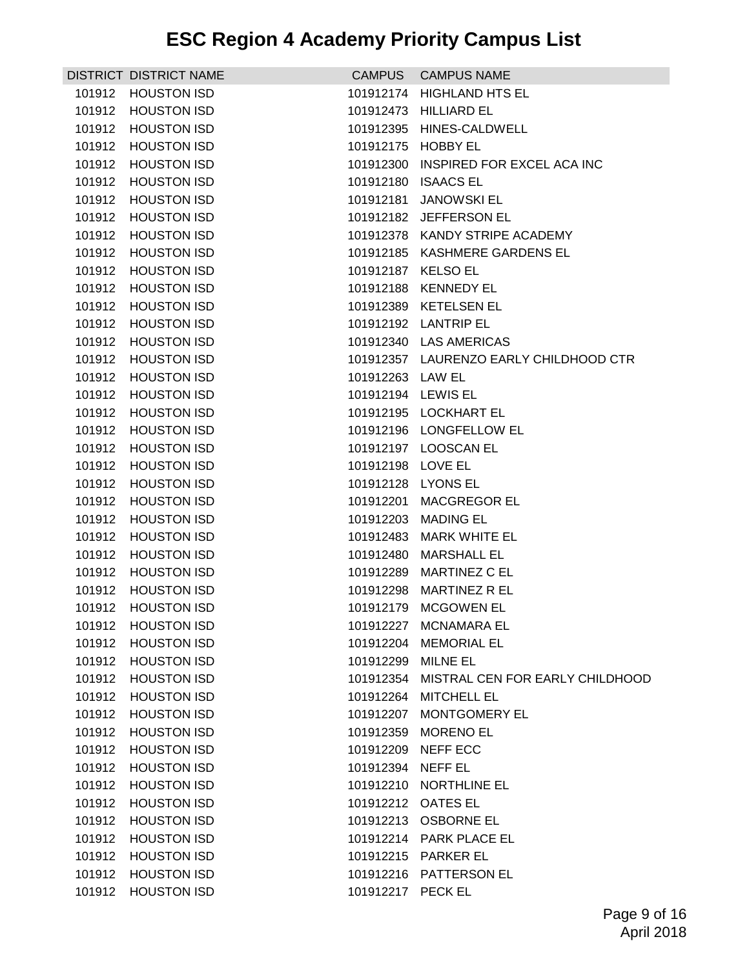|        | DISTRICT DISTRICT NAME | <b>CAMPUS</b>      | <b>CAMPUS NAME</b>                     |
|--------|------------------------|--------------------|----------------------------------------|
| 101912 | <b>HOUSTON ISD</b>     | 101912174          | <b>HIGHLAND HTS EL</b>                 |
| 101912 | <b>HOUSTON ISD</b>     | 101912473          | <b>HILLIARD EL</b>                     |
| 101912 | <b>HOUSTON ISD</b>     | 101912395          | HINES-CALDWELL                         |
| 101912 | <b>HOUSTON ISD</b>     | 101912175          | <b>HOBBY EL</b>                        |
| 101912 | <b>HOUSTON ISD</b>     | 101912300          | INSPIRED FOR EXCEL ACA INC             |
| 101912 | <b>HOUSTON ISD</b>     | 101912180          | <b>ISAACS EL</b>                       |
| 101912 | <b>HOUSTON ISD</b>     | 101912181          | <b>JANOWSKI EL</b>                     |
| 101912 | <b>HOUSTON ISD</b>     | 101912182          | JEFFERSON EL                           |
| 101912 | <b>HOUSTON ISD</b>     |                    | 101912378 KANDY STRIPE ACADEMY         |
| 101912 | <b>HOUSTON ISD</b>     |                    | 101912185 KASHMERE GARDENS EL          |
| 101912 | <b>HOUSTON ISD</b>     | 101912187          | <b>KELSO EL</b>                        |
| 101912 | <b>HOUSTON ISD</b>     |                    | 101912188 KENNEDY EL                   |
| 101912 | <b>HOUSTON ISD</b>     | 101912389          | <b>KETELSEN EL</b>                     |
| 101912 | <b>HOUSTON ISD</b>     |                    | 101912192 LANTRIP EL                   |
| 101912 | <b>HOUSTON ISD</b>     |                    | 101912340 LAS AMERICAS                 |
| 101912 | <b>HOUSTON ISD</b>     |                    | 101912357 LAURENZO EARLY CHILDHOOD CTR |
| 101912 | <b>HOUSTON ISD</b>     | 101912263 LAW EL   |                                        |
| 101912 | <b>HOUSTON ISD</b>     | 101912194 LEWIS EL |                                        |
| 101912 | <b>HOUSTON ISD</b>     |                    | 101912195 LOCKHART EL                  |
| 101912 | <b>HOUSTON ISD</b>     |                    | 101912196 LONGFELLOW EL                |
| 101912 | <b>HOUSTON ISD</b>     | 101912197          | <b>LOOSCAN EL</b>                      |
| 101912 | <b>HOUSTON ISD</b>     | 101912198 LOVE EL  |                                        |
| 101912 | <b>HOUSTON ISD</b>     | 101912128 LYONS EL |                                        |
| 101912 | <b>HOUSTON ISD</b>     | 101912201          | <b>MACGREGOR EL</b>                    |
| 101912 | <b>HOUSTON ISD</b>     | 101912203          | <b>MADING EL</b>                       |
| 101912 | <b>HOUSTON ISD</b>     | 101912483          | <b>MARK WHITE EL</b>                   |
| 101912 | <b>HOUSTON ISD</b>     | 101912480          | <b>MARSHALL EL</b>                     |
| 101912 | <b>HOUSTON ISD</b>     | 101912289          | MARTINEZ C EL                          |
| 101912 | <b>HOUSTON ISD</b>     | 101912298          | <b>MARTINEZ R EL</b>                   |
|        | 101912 HOUSTON ISD     |                    | 101912179 MCGOWEN EL                   |
|        | 101912 HOUSTON ISD     |                    | 101912227 MCNAMARA EL                  |
| 101912 | <b>HOUSTON ISD</b>     | 101912204          | <b>MEMORIAL EL</b>                     |
| 101912 | <b>HOUSTON ISD</b>     | 101912299          | <b>MILNE EL</b>                        |
| 101912 | <b>HOUSTON ISD</b>     | 101912354          | MISTRAL CEN FOR EARLY CHILDHOOD        |
| 101912 | <b>HOUSTON ISD</b>     | 101912264          | <b>MITCHELL EL</b>                     |
| 101912 | <b>HOUSTON ISD</b>     |                    | 101912207 MONTGOMERY EL                |
| 101912 | <b>HOUSTON ISD</b>     | 101912359          | <b>MORENO EL</b>                       |
| 101912 | <b>HOUSTON ISD</b>     | 101912209          | NEFF ECC                               |
| 101912 | <b>HOUSTON ISD</b>     | 101912394          | NEFF EL                                |
| 101912 | <b>HOUSTON ISD</b>     | 101912210          | NORTHLINE EL                           |
| 101912 | <b>HOUSTON ISD</b>     | 101912212 OATES EL |                                        |
| 101912 | <b>HOUSTON ISD</b>     | 101912213          | <b>OSBORNE EL</b>                      |
| 101912 | <b>HOUSTON ISD</b>     |                    | 101912214 PARK PLACE EL                |
| 101912 | <b>HOUSTON ISD</b>     | 101912215          | <b>PARKER EL</b>                       |
| 101912 | <b>HOUSTON ISD</b>     |                    | 101912216 PATTERSON EL                 |
|        | 101912 HOUSTON ISD     | 101912217 PECK EL  |                                        |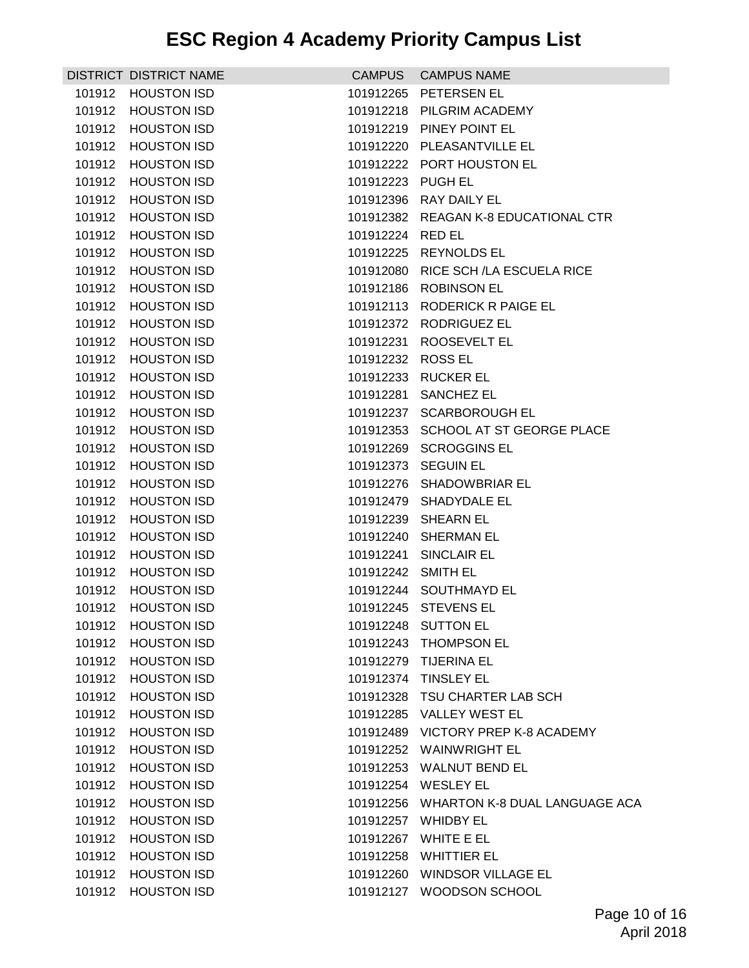|        | DISTRICT DISTRICT NAME | <b>CAMPUS</b>      | <b>CAMPUS NAME</b>                      |
|--------|------------------------|--------------------|-----------------------------------------|
| 101912 | <b>HOUSTON ISD</b>     | 101912265          | PETERSEN EL                             |
| 101912 | <b>HOUSTON ISD</b>     |                    | 101912218 PILGRIM ACADEMY               |
| 101912 | <b>HOUSTON ISD</b>     | 101912219          | PINEY POINT EL                          |
| 101912 | <b>HOUSTON ISD</b>     |                    | 101912220 PLEASANTVILLE EL              |
| 101912 | <b>HOUSTON ISD</b>     |                    | 101912222 PORT HOUSTON EL               |
| 101912 | <b>HOUSTON ISD</b>     | 101912223          | PUGH EL                                 |
| 101912 | <b>HOUSTON ISD</b>     |                    | 101912396 RAY DAILY EL                  |
| 101912 | <b>HOUSTON ISD</b>     | 101912382          | REAGAN K-8 EDUCATIONAL CTR              |
| 101912 | <b>HOUSTON ISD</b>     | 101912224 RED EL   |                                         |
| 101912 | <b>HOUSTON ISD</b>     | 101912225          | <b>REYNOLDS EL</b>                      |
| 101912 | <b>HOUSTON ISD</b>     | 101912080          | RICE SCH / LA ESCUELA RICE              |
| 101912 | <b>HOUSTON ISD</b>     |                    | 101912186 ROBINSON EL                   |
| 101912 | <b>HOUSTON ISD</b>     | 101912113          | RODERICK R PAIGE EL                     |
| 101912 | <b>HOUSTON ISD</b>     |                    | 101912372 RODRIGUEZ EL                  |
| 101912 | <b>HOUSTON ISD</b>     | 101912231          | ROOSEVELT EL                            |
| 101912 | <b>HOUSTON ISD</b>     | 101912232          | <b>ROSS EL</b>                          |
| 101912 | <b>HOUSTON ISD</b>     |                    | 101912233 RUCKER EL                     |
| 101912 | <b>HOUSTON ISD</b>     | 101912281          | <b>SANCHEZ EL</b>                       |
| 101912 | <b>HOUSTON ISD</b>     |                    | 101912237 SCARBOROUGH EL                |
| 101912 | <b>HOUSTON ISD</b>     | 101912353          | SCHOOL AT ST GEORGE PLACE               |
| 101912 | <b>HOUSTON ISD</b>     |                    | 101912269 SCROGGINS EL                  |
| 101912 | <b>HOUSTON ISD</b>     | 101912373          | <b>SEGUIN EL</b>                        |
| 101912 | <b>HOUSTON ISD</b>     |                    | 101912276 SHADOWBRIAR EL                |
| 101912 | <b>HOUSTON ISD</b>     |                    | 101912479 SHADYDALE EL                  |
| 101912 | <b>HOUSTON ISD</b>     | 101912239          | <b>SHEARN EL</b>                        |
| 101912 | <b>HOUSTON ISD</b>     |                    | 101912240 SHERMAN EL                    |
| 101912 | <b>HOUSTON ISD</b>     | 101912241          | SINCLAIR EL                             |
| 101912 | <b>HOUSTON ISD</b>     | 101912242 SMITH EL |                                         |
| 101912 | <b>HOUSTON ISD</b>     |                    | 101912244 SOUTHMAYD EL                  |
|        | 101912 HOUSTON ISD     |                    | 101912245 STEVENS FL                    |
|        | 101912 HOUSTON ISD     |                    | 101912248 SUTTON EL                     |
| 101912 | <b>HOUSTON ISD</b>     |                    | 101912243 THOMPSON EL                   |
| 101912 | <b>HOUSTON ISD</b>     |                    | 101912279 TIJERINA EL                   |
| 101912 | <b>HOUSTON ISD</b>     |                    | 101912374 TINSLEY EL                    |
| 101912 | <b>HOUSTON ISD</b>     |                    | 101912328 TSU CHARTER LAB SCH           |
| 101912 | <b>HOUSTON ISD</b>     |                    | 101912285 VALLEY WEST EL                |
| 101912 | <b>HOUSTON ISD</b>     |                    | 101912489 VICTORY PREP K-8 ACADEMY      |
| 101912 | <b>HOUSTON ISD</b>     |                    | 101912252 WAINWRIGHT EL                 |
| 101912 | <b>HOUSTON ISD</b>     |                    | 101912253 WALNUT BEND EL                |
| 101912 | <b>HOUSTON ISD</b>     |                    | 101912254 WESLEY EL                     |
| 101912 | <b>HOUSTON ISD</b>     |                    | 101912256 WHARTON K-8 DUAL LANGUAGE ACA |
| 101912 | <b>HOUSTON ISD</b>     |                    | 101912257 WHIDBY EL                     |
| 101912 | <b>HOUSTON ISD</b>     |                    | 101912267 WHITE E EL                    |
| 101912 | <b>HOUSTON ISD</b>     |                    | 101912258 WHITTIER EL                   |
| 101912 | <b>HOUSTON ISD</b>     |                    | 101912260 WINDSOR VILLAGE EL            |
|        | <b>HOUSTON ISD</b>     |                    | WOODSON SCHOOL                          |
| 101912 |                        | 101912127          |                                         |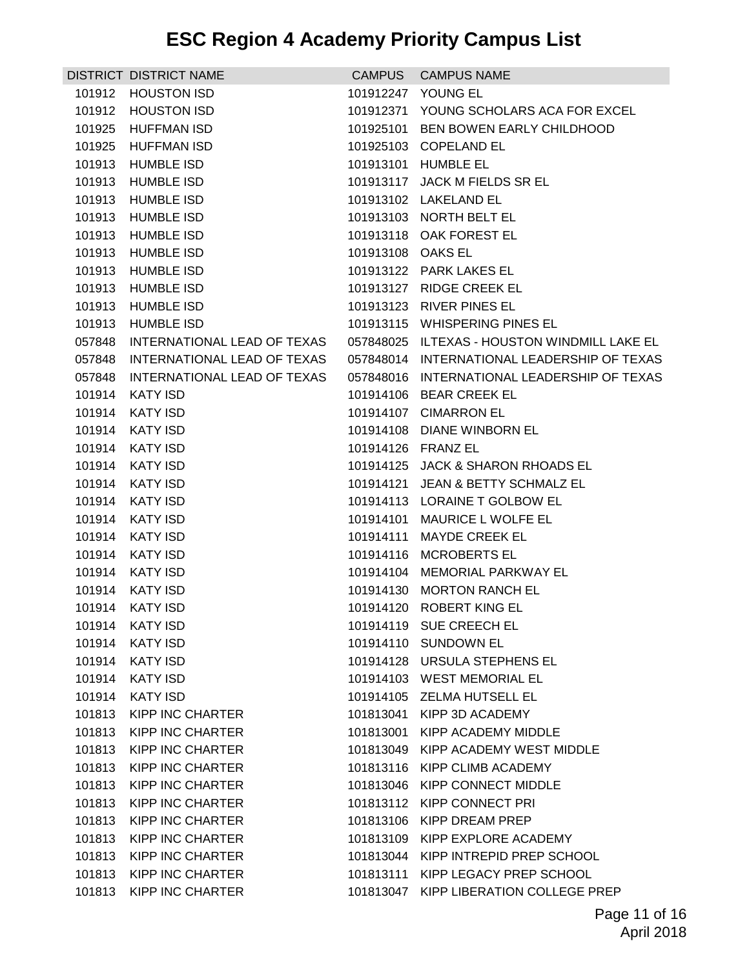|        | DISTRICT DISTRICT NAME      | <b>CAMPUS</b>     | <b>CAMPUS NAME</b>                           |
|--------|-----------------------------|-------------------|----------------------------------------------|
| 101912 | <b>HOUSTON ISD</b>          |                   | 101912247 YOUNG EL                           |
| 101912 | <b>HOUSTON ISD</b>          |                   | 101912371 YOUNG SCHOLARS ACA FOR EXCEL       |
| 101925 | HUFFMAN ISD                 |                   | 101925101 BEN BOWEN EARLY CHILDHOOD          |
| 101925 | HUFFMAN ISD                 |                   | 101925103 COPELAND EL                        |
| 101913 | HUMBLE ISD                  | 101913101         | HUMBLE EL                                    |
| 101913 | HUMBLE ISD                  |                   | 101913117 JACK M FIELDS SR EL                |
| 101913 | <b>HUMBLE ISD</b>           |                   | 101913102 LAKELAND EL                        |
| 101913 | HUMBLE ISD                  |                   | 101913103 NORTH BELT EL                      |
| 101913 | HUMBLE ISD                  |                   | 101913118 OAK FOREST EL                      |
| 101913 | <b>HUMBLE ISD</b>           | 101913108 OAKS EL |                                              |
| 101913 | <b>HUMBLE ISD</b>           |                   | 101913122 PARK LAKES EL                      |
| 101913 | <b>HUMBLE ISD</b>           |                   | 101913127 RIDGE CREEK EL                     |
| 101913 | <b>HUMBLE ISD</b>           |                   | 101913123 RIVER PINES EL                     |
| 101913 | <b>HUMBLE ISD</b>           |                   | 101913115 WHISPERING PINES EL                |
| 057848 | INTERNATIONAL LEAD OF TEXAS |                   | 057848025 ILTEXAS - HOUSTON WINDMILL LAKE EL |
| 057848 | INTERNATIONAL LEAD OF TEXAS |                   | 057848014 INTERNATIONAL LEADERSHIP OF TEXAS  |
| 057848 | INTERNATIONAL LEAD OF TEXAS |                   | 057848016 INTERNATIONAL LEADERSHIP OF TEXAS  |
| 101914 | <b>KATY ISD</b>             |                   | 101914106 BEAR CREEK EL                      |
| 101914 | <b>KATY ISD</b>             |                   | 101914107 CIMARRON EL                        |
| 101914 | KATY ISD                    |                   | 101914108 DIANE WINBORN EL                   |
| 101914 | <b>KATY ISD</b>             |                   | 101914126 FRANZ EL                           |
| 101914 | <b>KATY ISD</b>             |                   | 101914125 JACK & SHARON RHOADS EL            |
| 101914 | <b>KATY ISD</b>             |                   | 101914121 JEAN & BETTY SCHMALZ EL            |
| 101914 | <b>KATY ISD</b>             |                   | 101914113 LORAINE T GOLBOW EL                |
| 101914 | KATY ISD                    | 101914101         | MAURICE L WOLFE EL                           |
| 101914 | <b>KATY ISD</b>             | 101914111         | <b>MAYDE CREEK EL</b>                        |
| 101914 | <b>KATY ISD</b>             |                   | 101914116 MCROBERTS EL                       |
| 101914 | <b>KATY ISD</b>             |                   | 101914104 MEMORIAL PARKWAY EL                |
| 101914 | KATY ISD                    |                   | 101914130 MORTON RANCH EL                    |
| 101914 | <b>KATY ISD</b>             |                   | 101914120 ROBERT KING EL                     |
| 101914 | <b>KATY ISD</b>             |                   | 101914119 SUE CREECH EL                      |
| 101914 | KATY ISD                    |                   | 101914110 SUNDOWN EL                         |
| 101914 | <b>KATY ISD</b>             |                   | 101914128 URSULA STEPHENS EL                 |
| 101914 | <b>KATY ISD</b>             |                   | 101914103 WEST MEMORIAL EL                   |
| 101914 | <b>KATY ISD</b>             |                   | 101914105 ZELMA HUTSELL EL                   |
| 101813 | KIPP INC CHARTER            |                   | 101813041 KIPP 3D ACADEMY                    |
| 101813 | <b>KIPP INC CHARTER</b>     | 101813001         | KIPP ACADEMY MIDDLE                          |
| 101813 | <b>KIPP INC CHARTER</b>     | 101813049         | KIPP ACADEMY WEST MIDDLE                     |
| 101813 | <b>KIPP INC CHARTER</b>     |                   | 101813116 KIPP CLIMB ACADEMY                 |
| 101813 | <b>KIPP INC CHARTER</b>     |                   | 101813046 KIPP CONNECT MIDDLE                |
| 101813 | KIPP INC CHARTER            |                   | 101813112 KIPP CONNECT PRI                   |
| 101813 | <b>KIPP INC CHARTER</b>     | 101813106         | KIPP DREAM PREP                              |
| 101813 | <b>KIPP INC CHARTER</b>     |                   | 101813109 KIPP EXPLORE ACADEMY               |
| 101813 | KIPP INC CHARTER            |                   | 101813044 KIPP INTREPID PREP SCHOOL          |
| 101813 | <b>KIPP INC CHARTER</b>     |                   | 101813111 KIPP LEGACY PREP SCHOOL            |
| 101813 | <b>KIPP INC CHARTER</b>     |                   | 101813047 KIPP LIBERATION COLLEGE PREP       |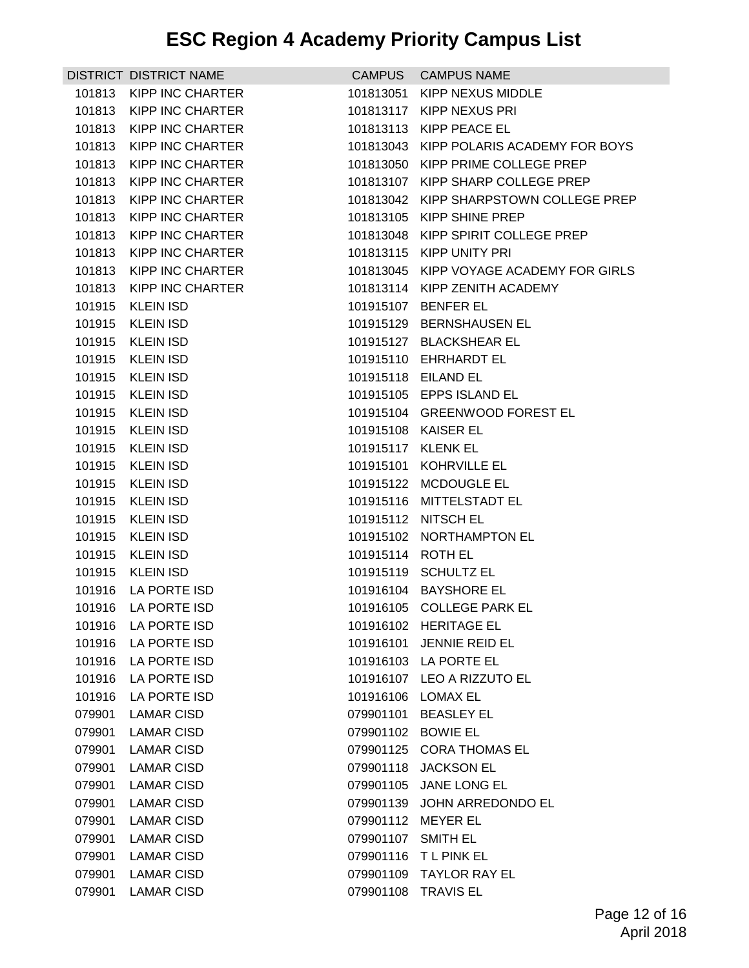|        | DISTRICT DISTRICT NAME  | <b>CAMPUS</b>     | <b>CAMPUS NAME</b>            |
|--------|-------------------------|-------------------|-------------------------------|
| 101813 | KIPP INC CHARTER        | 101813051         | KIPP NEXUS MIDDLE             |
| 101813 | KIPP INC CHARTER        | 101813117         | KIPP NEXUS PRI                |
| 101813 | KIPP INC CHARTER        | 101813113         | KIPP PEACE EL                 |
| 101813 | <b>KIPP INC CHARTER</b> | 101813043         | KIPP POLARIS ACADEMY FOR BOYS |
| 101813 | KIPP INC CHARTER        | 101813050         | KIPP PRIME COLLEGE PREP       |
| 101813 | <b>KIPP INC CHARTER</b> | 101813107         | KIPP SHARP COLLEGE PREP       |
| 101813 | <b>KIPP INC CHARTER</b> | 101813042         | KIPP SHARPSTOWN COLLEGE PREP  |
| 101813 | <b>KIPP INC CHARTER</b> | 101813105         | <b>KIPP SHINE PREP</b>        |
| 101813 | <b>KIPP INC CHARTER</b> | 101813048         | KIPP SPIRIT COLLEGE PREP      |
| 101813 | KIPP INC CHARTER        |                   | 101813115 KIPP UNITY PRI      |
| 101813 | <b>KIPP INC CHARTER</b> | 101813045         | KIPP VOYAGE ACADEMY FOR GIRLS |
| 101813 | <b>KIPP INC CHARTER</b> | 101813114         | KIPP ZENITH ACADEMY           |
| 101915 | <b>KLEIN ISD</b>        | 101915107         | <b>BENFER EL</b>              |
| 101915 | <b>KLEIN ISD</b>        |                   | 101915129 BERNSHAUSEN EL      |
| 101915 | <b>KLEIN ISD</b>        |                   | 101915127 BLACKSHEAR EL       |
| 101915 | <b>KLEIN ISD</b>        |                   | 101915110 EHRHARDT EL         |
| 101915 | <b>KLEIN ISD</b>        |                   | 101915118 EILAND EL           |
| 101915 | <b>KLEIN ISD</b>        |                   | 101915105 EPPS ISLAND EL      |
| 101915 | <b>KLEIN ISD</b>        |                   | 101915104 GREENWOOD FOREST EL |
| 101915 | <b>KLEIN ISD</b>        |                   | 101915108 KAISER EL           |
| 101915 | <b>KLEIN ISD</b>        | 101915117         | <b>KLENK EL</b>               |
| 101915 | <b>KLEIN ISD</b>        |                   | 101915101 KOHRVILLE EL        |
| 101915 | <b>KLEIN ISD</b>        |                   | 101915122 MCDOUGLE EL         |
| 101915 | <b>KLEIN ISD</b>        |                   | 101915116 MITTELSTADT EL      |
| 101915 | <b>KLEIN ISD</b>        |                   | 101915112 NITSCH EL           |
| 101915 | <b>KLEIN ISD</b>        |                   | 101915102 NORTHAMPTON EL      |
| 101915 | <b>KLEIN ISD</b>        | 101915114 ROTH EL |                               |
| 101915 | <b>KLEIN ISD</b>        |                   | 101915119 SCHULTZ EL          |
| 101916 | LA PORTE ISD            |                   | 101916104 BAYSHORE EL         |
| 101916 | LA PORTE ISD            |                   | 101916105 COLLEGE PARK EL     |
| 101916 | LA PORTE ISD            |                   | 101916102 HERITAGE EL         |
| 101916 | LA PORTE ISD            | 101916101         | JENNIE REID EL                |
| 101916 | LA PORTE ISD            | 101916103         | LA PORTE EL                   |
| 101916 | LA PORTE ISD            |                   | 101916107 LEO A RIZZUTO EL    |
| 101916 | LA PORTE ISD            | 101916106         | <b>LOMAX EL</b>               |
| 079901 | <b>LAMAR CISD</b>       | 079901101         | <b>BEASLEY EL</b>             |
| 079901 | <b>LAMAR CISD</b>       | 079901102         | <b>BOWIE EL</b>               |
| 079901 | <b>LAMAR CISD</b>       | 079901125         | <b>CORA THOMAS EL</b>         |
| 079901 | LAMAR CISD              | 079901118         | <b>JACKSON EL</b>             |
| 079901 | <b>LAMAR CISD</b>       | 079901105         | JANE LONG EL                  |
| 079901 | <b>LAMAR CISD</b>       | 079901139         | JOHN ARREDONDO EL             |
| 079901 | <b>LAMAR CISD</b>       | 079901112         | MEYER EL                      |
| 079901 | <b>LAMAR CISD</b>       | 079901107         | <b>SMITH EL</b>               |
| 079901 | <b>LAMAR CISD</b>       | 079901116         | <b>TLPINKEL</b>               |
| 079901 | <b>LAMAR CISD</b>       | 079901109         | <b>TAYLOR RAY EL</b>          |
| 079901 | <b>LAMAR CISD</b>       | 079901108         | <b>TRAVIS EL</b>              |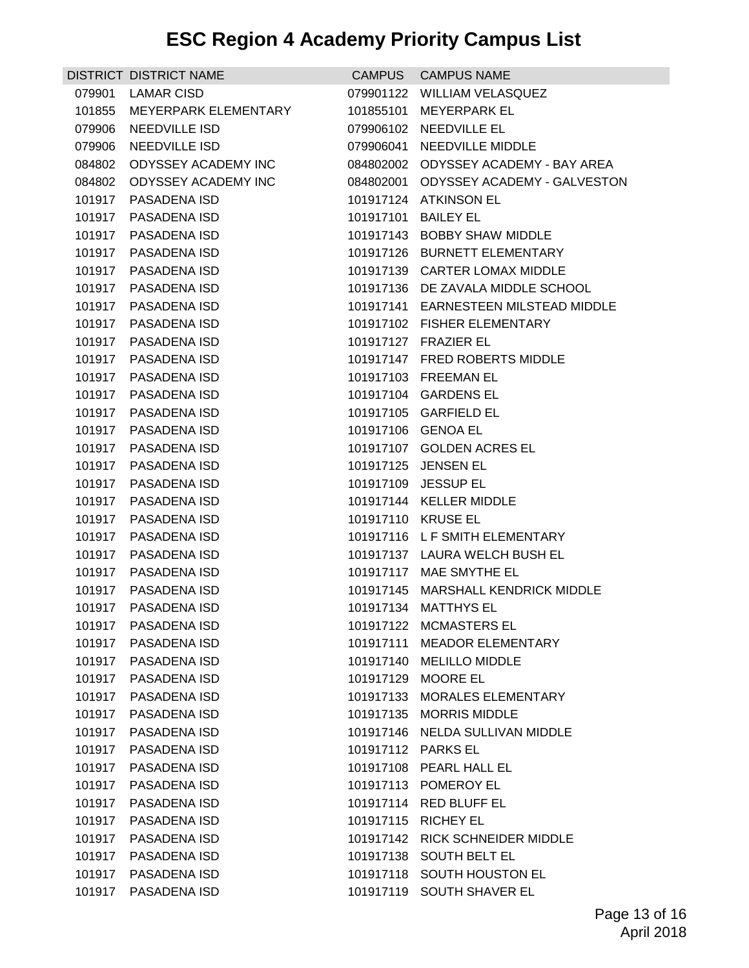|                  | DISTRICT DISTRICT NAME       | <b>CAMPUS</b>      | <b>CAMPUS NAME</b>                                       |
|------------------|------------------------------|--------------------|----------------------------------------------------------|
|                  | 079901 LAMAR CISD            |                    | 079901122 WILLIAM VELASQUEZ                              |
| 101855           | MEYERPARK ELEMENTARY         | 101855101          | <b>MEYERPARK EL</b>                                      |
| 079906           | NEEDVILLE ISD                | 079906102          | NEEDVILLE EL                                             |
| 079906           | NEEDVILLE ISD                | 079906041          | NEEDVILLE MIDDLE                                         |
| 084802           | <b>ODYSSEY ACADEMY INC</b>   |                    | 084802002 ODYSSEY ACADEMY - BAY AREA                     |
| 084802           | ODYSSEY ACADEMY INC          | 084802001          | <b>ODYSSEY ACADEMY - GALVESTON</b>                       |
| 101917           | PASADENA ISD                 | 101917124          | <b>ATKINSON EL</b>                                       |
| 101917           | PASADENA ISD                 | 101917101          | <b>BAILEY EL</b>                                         |
| 101917           | PASADENA ISD                 | 101917143          | <b>BOBBY SHAW MIDDLE</b>                                 |
| 101917           | PASADENA ISD                 |                    | 101917126 BURNETT ELEMENTARY                             |
| 101917           | PASADENA ISD                 | 101917139          | <b>CARTER LOMAX MIDDLE</b>                               |
| 101917           | PASADENA ISD                 |                    | 101917136 DE ZAVALA MIDDLE SCHOOL                        |
| 101917           | PASADENA ISD                 | 101917141          | EARNESTEEN MILSTEAD MIDDLE                               |
| 101917           | PASADENA ISD                 |                    | 101917102 FISHER ELEMENTARY                              |
| 101917           | PASADENA ISD                 |                    | 101917127 FRAZIER EL                                     |
| 101917           | PASADENA ISD                 |                    | 101917147 FRED ROBERTS MIDDLE                            |
| 101917           | PASADENA ISD                 |                    | 101917103 FREEMAN EL                                     |
| 101917           | <b>PASADENA ISD</b>          |                    | 101917104 GARDENS EL                                     |
| 101917           | PASADENA ISD                 |                    | 101917105 GARFIELD EL                                    |
| 101917           | PASADENA ISD                 | 101917106 GENOA EL |                                                          |
| 101917           | PASADENA ISD                 | 101917107          | <b>GOLDEN ACRES EL</b>                                   |
| 101917           | PASADENA ISD                 | 101917125          | JENSEN EL                                                |
| 101917           | PASADENA ISD                 | 101917109          | <b>JESSUP EL</b>                                         |
| 101917           | PASADENA ISD                 |                    | 101917144 KELLER MIDDLE                                  |
| 101917           | PASADENA ISD                 | 101917110 KRUSE EL |                                                          |
| 101917           | PASADENA ISD                 |                    | 101917116 LF SMITH ELEMENTARY                            |
| 101917<br>101917 | PASADENA ISD<br>PASADENA ISD |                    | 101917137 LAURA WELCH BUSH EL<br>101917117 MAE SMYTHE EL |
| 101917           | PASADENA ISD                 |                    | 101917145 MARSHALL KENDRICK MIDDLE                       |
| 101917           | PASADENA ISD                 |                    | 101917134 MATTHYS EL                                     |
|                  | 101917 PASADENA ISD          |                    | 101917122 MCMASTERS EL                                   |
| 101917           | PASADENA ISD                 | 101917111          | <b>MEADOR ELEMENTARY</b>                                 |
| 101917           | PASADENA ISD                 | 101917140          | <b>MELILLO MIDDLE</b>                                    |
| 101917           | <b>PASADENA ISD</b>          | 101917129          | <b>MOORE EL</b>                                          |
| 101917           | PASADENA ISD                 | 101917133          | MORALES ELEMENTARY                                       |
|                  | 101917 PASADENA ISD          | 101917135          | <b>MORRIS MIDDLE</b>                                     |
| 101917           | PASADENA ISD                 | 101917146          | NELDA SULLIVAN MIDDLE                                    |
| 101917           | PASADENA ISD                 | 101917112          | <b>PARKS EL</b>                                          |
| 101917           | PASADENA ISD                 |                    | 101917108 PEARL HALL EL                                  |
| 101917           | PASADENA ISD                 | 101917113          | POMEROY EL                                               |
| 101917           | PASADENA ISD                 |                    | 101917114 RED BLUFF EL                                   |
| 101917           | PASADENA ISD                 | 101917115          | <b>RICHEY EL</b>                                         |
| 101917           | PASADENA ISD                 | 101917142          | <b>RICK SCHNEIDER MIDDLE</b>                             |
| 101917           | PASADENA ISD                 | 101917138          | <b>SOUTH BELT EL</b>                                     |
| 101917           | PASADENA ISD                 | 101917118          | SOUTH HOUSTON EL                                         |
| 101917           | PASADENA ISD                 | 101917119          | SOUTH SHAVER EL                                          |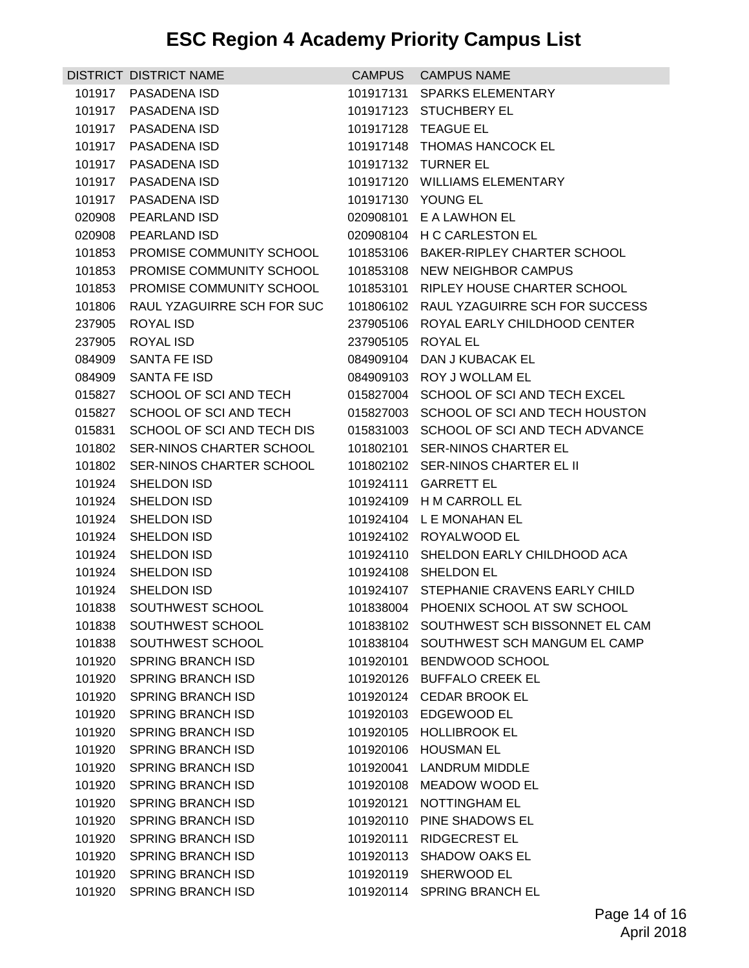|        | DISTRICT DISTRICT NAME          | <b>CAMPUS</b> | <b>CAMPUS NAME</b>                       |
|--------|---------------------------------|---------------|------------------------------------------|
| 101917 | <b>PASADENA ISD</b>             | 101917131     | <b>SPARKS ELEMENTARY</b>                 |
| 101917 | PASADENA ISD                    | 101917123     | <b>STUCHBERY EL</b>                      |
| 101917 | PASADENA ISD                    |               | 101917128 TEAGUE EL                      |
| 101917 | PASADENA ISD                    |               | 101917148 THOMAS HANCOCK EL              |
|        | 101917 PASADENA ISD             |               | 101917132 TURNER EL                      |
| 101917 | <b>PASADENA ISD</b>             | 101917120     | <b>WILLIAMS ELEMENTARY</b>               |
| 101917 | PASADENA ISD                    |               | 101917130 YOUNG EL                       |
| 020908 | <b>PEARLAND ISD</b>             | 020908101     | E A LAWHON EL                            |
| 020908 | PEARLAND ISD                    |               | 020908104 H C CARLESTON EL               |
| 101853 | <b>PROMISE COMMUNITY SCHOOL</b> |               | 101853106 BAKER-RIPLEY CHARTER SCHOOL    |
| 101853 | PROMISE COMMUNITY SCHOOL        | 101853108     | NEW NEIGHBOR CAMPUS                      |
| 101853 | PROMISE COMMUNITY SCHOOL        | 101853101     | RIPLEY HOUSE CHARTER SCHOOL              |
| 101806 | RAUL YZAGUIRRE SCH FOR SUC      |               | 101806102 RAUL YZAGUIRRE SCH FOR SUCCESS |
| 237905 | <b>ROYAL ISD</b>                |               | 237905106 ROYAL EARLY CHILDHOOD CENTER   |
| 237905 | ROYAL ISD                       | 237905105     | ROYAL EL                                 |
| 084909 | SANTA FE ISD                    | 084909104     | DAN J KUBACAK EL                         |
| 084909 | SANTA FE ISD                    |               | 084909103 ROY J WOLLAM EL                |
| 015827 | SCHOOL OF SCI AND TECH          | 015827004     | SCHOOL OF SCI AND TECH EXCEL             |
| 015827 | SCHOOL OF SCI AND TECH          |               | 015827003 SCHOOL OF SCI AND TECH HOUSTON |
| 015831 | SCHOOL OF SCI AND TECH DIS      | 015831003     | SCHOOL OF SCI AND TECH ADVANCE           |
| 101802 | SER-NINOS CHARTER SCHOOL        | 101802101     | SER-NINOS CHARTER EL                     |
| 101802 | SER-NINOS CHARTER SCHOOL        |               | 101802102 SER-NINOS CHARTER EL II        |
| 101924 | SHELDON ISD                     | 101924111     | <b>GARRETT EL</b>                        |
| 101924 | SHELDON ISD                     |               | 101924109 H M CARROLL EL                 |
| 101924 | SHELDON ISD                     | 101924104     | L E MONAHAN EL                           |
| 101924 | SHELDON ISD                     |               | 101924102 ROYALWOOD EL                   |
| 101924 | SHELDON ISD                     | 101924110     | SHELDON EARLY CHILDHOOD ACA              |
| 101924 | SHELDON ISD                     | 101924108     | SHELDON EL                               |
| 101924 | SHELDON ISD                     |               | 101924107 STEPHANIE CRAVENS EARLY CHILD  |
|        | 101838 SOUTHWEST SCHOOL         |               | 101838004 PHOENIX SCHOOL AT SW SCHOOL    |
|        | 101838 SOUTHWEST SCHOOL         |               | 101838102 SOUTHWEST SCH BISSONNET EL CAM |
| 101838 | SOUTHWEST SCHOOL                | 101838104     | SOUTHWEST SCH MANGUM EL CAMP             |
| 101920 | <b>SPRING BRANCH ISD</b>        | 101920101     | BENDWOOD SCHOOL                          |
| 101920 | <b>SPRING BRANCH ISD</b>        | 101920126     | <b>BUFFALO CREEK EL</b>                  |
| 101920 | <b>SPRING BRANCH ISD</b>        | 101920124     | <b>CEDAR BROOK EL</b>                    |
|        | 101920 SPRING BRANCH ISD        |               | 101920103 EDGEWOOD EL                    |
| 101920 | <b>SPRING BRANCH ISD</b>        | 101920105     | <b>HOLLIBROOK EL</b>                     |
| 101920 | <b>SPRING BRANCH ISD</b>        | 101920106     | <b>HOUSMAN EL</b>                        |
| 101920 | <b>SPRING BRANCH ISD</b>        | 101920041     | LANDRUM MIDDLE                           |
| 101920 | <b>SPRING BRANCH ISD</b>        | 101920108     | MEADOW WOOD EL                           |
| 101920 | <b>SPRING BRANCH ISD</b>        | 101920121     | NOTTINGHAM EL                            |
| 101920 | <b>SPRING BRANCH ISD</b>        | 101920110     | PINE SHADOWS EL                          |
| 101920 | <b>SPRING BRANCH ISD</b>        | 101920111     | <b>RIDGECREST EL</b>                     |
| 101920 | <b>SPRING BRANCH ISD</b>        | 101920113     | <b>SHADOW OAKS EL</b>                    |
| 101920 | <b>SPRING BRANCH ISD</b>        | 101920119     | SHERWOOD EL                              |
| 101920 | <b>SPRING BRANCH ISD</b>        | 101920114     | SPRING BRANCH EL                         |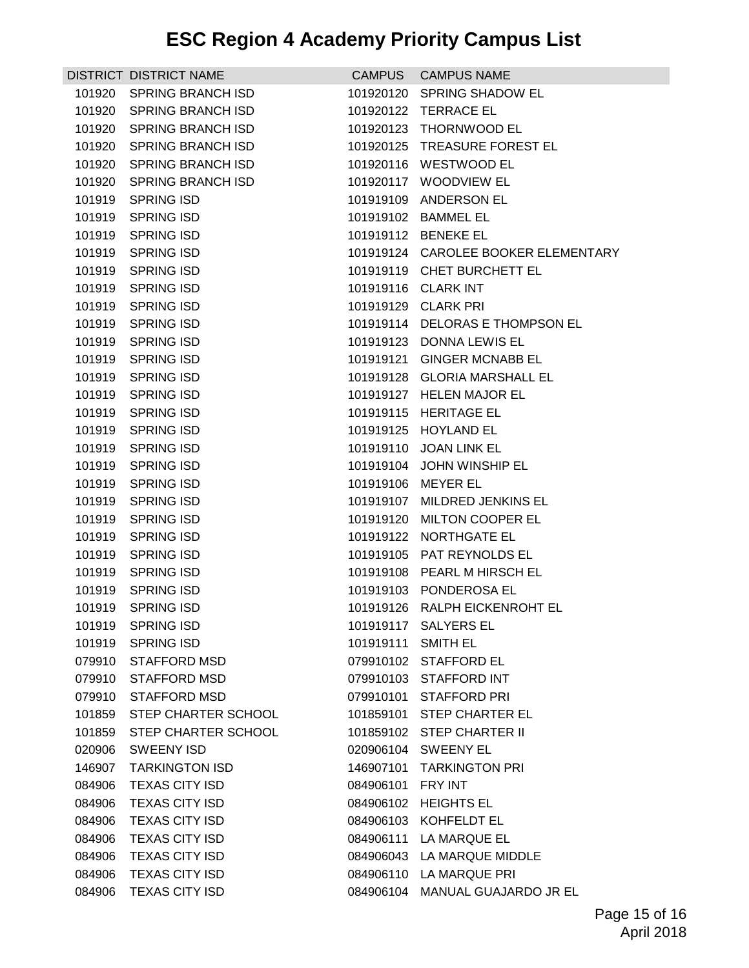|        | <b>DISTRICT DISTRICT NAME</b> |           | CAMPUS CAMPUS NAME                  |
|--------|-------------------------------|-----------|-------------------------------------|
| 101920 | <b>SPRING BRANCH ISD</b>      |           | 101920120 SPRING SHADOW EL          |
| 101920 | <b>SPRING BRANCH ISD</b>      |           | 101920122 TERRACE EL                |
| 101920 | <b>SPRING BRANCH ISD</b>      |           | 101920123 THORNWOOD EL              |
| 101920 | SPRING BRANCH ISD             |           | 101920125 TREASURE FOREST EL        |
|        | 101920 SPRING BRANCH ISD      |           | 101920116 WESTWOOD EL               |
| 101920 | <b>SPRING BRANCH ISD</b>      | 101920117 | <b>WOODVIEW EL</b>                  |
| 101919 | <b>SPRING ISD</b>             |           | 101919109 ANDERSON EL               |
| 101919 | <b>SPRING ISD</b>             |           | 101919102 BAMMEL EL                 |
| 101919 | SPRING ISD                    |           | 101919112 BENEKE EL                 |
| 101919 | SPRING ISD                    |           | 101919124 CAROLEE BOOKER ELEMENTARY |
| 101919 | SPRING ISD                    |           | 101919119 CHET BURCHETT EL          |
| 101919 | SPRING ISD                    |           | 101919116 CLARK INT                 |
| 101919 | SPRING ISD                    |           | 101919129 CLARK PRI                 |
| 101919 | SPRING ISD                    |           | 101919114 DELORAS E THOMPSON EL     |
| 101919 | <b>SPRING ISD</b>             |           | 101919123 DONNA LEWIS EL            |
| 101919 | SPRING ISD                    | 101919121 | <b>GINGER MCNABB EL</b>             |
| 101919 | SPRING ISD                    |           | 101919128 GLORIA MARSHALL EL        |
| 101919 | <b>SPRING ISD</b>             |           | 101919127 HELEN MAJOR EL            |
| 101919 | SPRING ISD                    |           | 101919115 HERITAGE EL               |
| 101919 | <b>SPRING ISD</b>             |           | 101919125 HOYLAND EL                |
| 101919 | <b>SPRING ISD</b>             |           | 101919110 JOAN LINK EL              |
| 101919 | <b>SPRING ISD</b>             |           | 101919104 JOHN WINSHIP EL           |
| 101919 | SPRING ISD                    | 101919106 | <b>MEYER EL</b>                     |
| 101919 | SPRING ISD                    |           | 101919107 MILDRED JENKINS EL        |
| 101919 | <b>SPRING ISD</b>             | 101919120 | <b>MILTON COOPER EL</b>             |
| 101919 | <b>SPRING ISD</b>             |           | 101919122 NORTHGATE EL              |
| 101919 | <b>SPRING ISD</b>             |           | 101919105 PAT REYNOLDS EL           |
| 101919 | SPRING ISD                    |           | 101919108 PEARL M HIRSCH EL         |
| 101919 | <b>SPRING ISD</b>             |           | 101919103 PONDEROSA EL              |
|        | 101919 SPRING ISD             |           | 101919126 RALPH EICKENROHT EL       |
|        | 101919 SPRING ISD             |           | 101919117 SALYERS EL                |
| 101919 | <b>SPRING ISD</b>             | 101919111 | <b>SMITH EL</b>                     |
| 079910 | <b>STAFFORD MSD</b>           |           | 079910102 STAFFORD EL               |
| 079910 | STAFFORD MSD                  |           | 079910103 STAFFORD INT              |
| 079910 | STAFFORD MSD                  |           | 079910101 STAFFORD PRI              |
|        | 101859 STEP CHARTER SCHOOL    |           | 101859101 STEP CHARTER EL           |
| 101859 | STEP CHARTER SCHOOL           |           | 101859102 STEP CHARTER II           |
| 020906 | <b>SWEENY ISD</b>             |           | 020906104 SWEENY EL                 |
| 146907 | <b>TARKINGTON ISD</b>         | 146907101 | <b>TARKINGTON PRI</b>               |
| 084906 | <b>TEXAS CITY ISD</b>         | 084906101 | FRY INT                             |
| 084906 | <b>TEXAS CITY ISD</b>         |           | 084906102 HEIGHTS EL                |
| 084906 | <b>TEXAS CITY ISD</b>         |           | 084906103 KOHFELDT EL               |
| 084906 | <b>TEXAS CITY ISD</b>         |           | 084906111 LA MARQUE EL              |
| 084906 | <b>TEXAS CITY ISD</b>         |           | 084906043 LA MARQUE MIDDLE          |
| 084906 | <b>TEXAS CITY ISD</b>         |           | 084906110 LA MARQUE PRI             |
| 084906 | <b>TEXAS CITY ISD</b>         |           | 084906104 MANUAL GUAJARDO JR EL     |